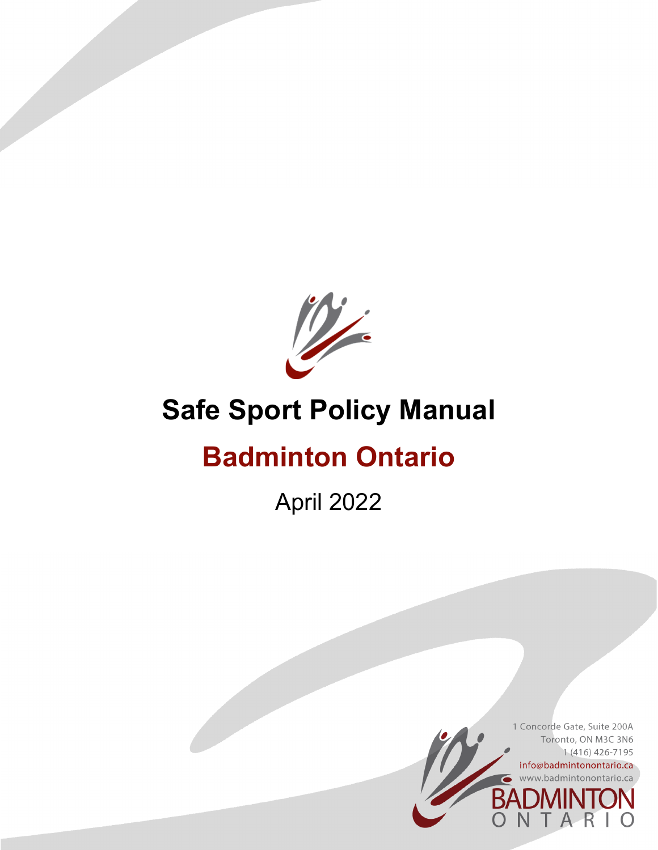

# **Safe Sport Policy Manual**

# **Badminton Ontario**

April 2022

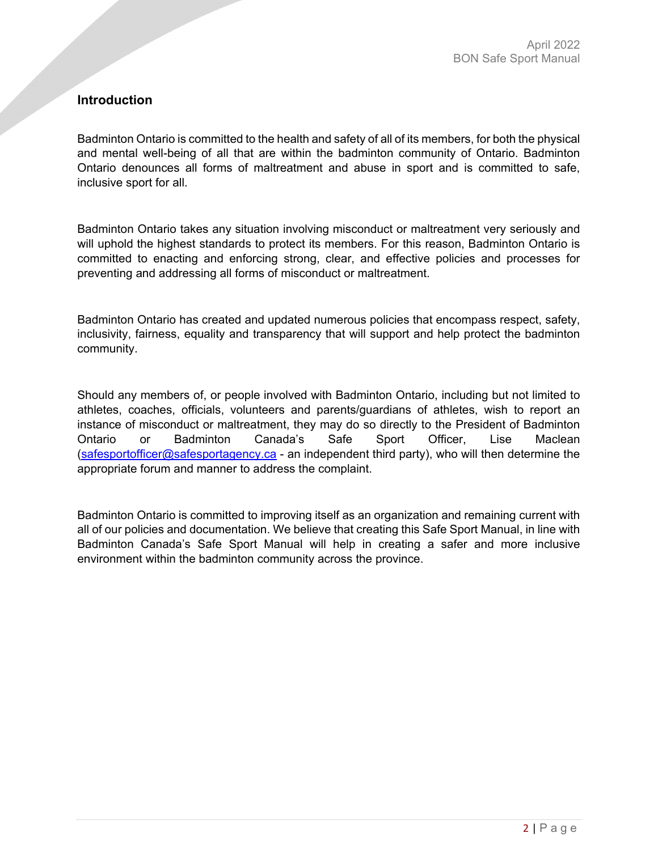# **Introduction**

Badminton Ontario is committed to the health and safety of all of its members, for both the physical and mental well-being of all that are within the badminton community of Ontario. Badminton Ontario denounces all forms of maltreatment and abuse in sport and is committed to safe, inclusive sport for all.

Badminton Ontario takes any situation involving misconduct or maltreatment very seriously and will uphold the highest standards to protect its members. For this reason, Badminton Ontario is committed to enacting and enforcing strong, clear, and effective policies and processes for preventing and addressing all forms of misconduct or maltreatment.

Badminton Ontario has created and updated numerous policies that encompass respect, safety, inclusivity, fairness, equality and transparency that will support and help protect the badminton community.

Should any members of, or people involved with Badminton Ontario, including but not limited to athletes, coaches, officials, volunteers and parents/guardians of athletes, wish to report an instance of misconduct or maltreatment, they may do so directly to the President of Badminton Ontario or Badminton Canada's Safe Sport Officer, Lise Maclean [\(safesportofficer@safesportagency.ca](mailto:safesportofficer@safesportagency.ca) - an independent third party), who will then determine the appropriate forum and manner to address the complaint.

Badminton Ontario is committed to improving itself as an organization and remaining current with all of our policies and documentation. We believe that creating this Safe Sport Manual, in line with Badminton Canada's Safe Sport Manual will help in creating a safer and more inclusive environment within the badminton community across the province.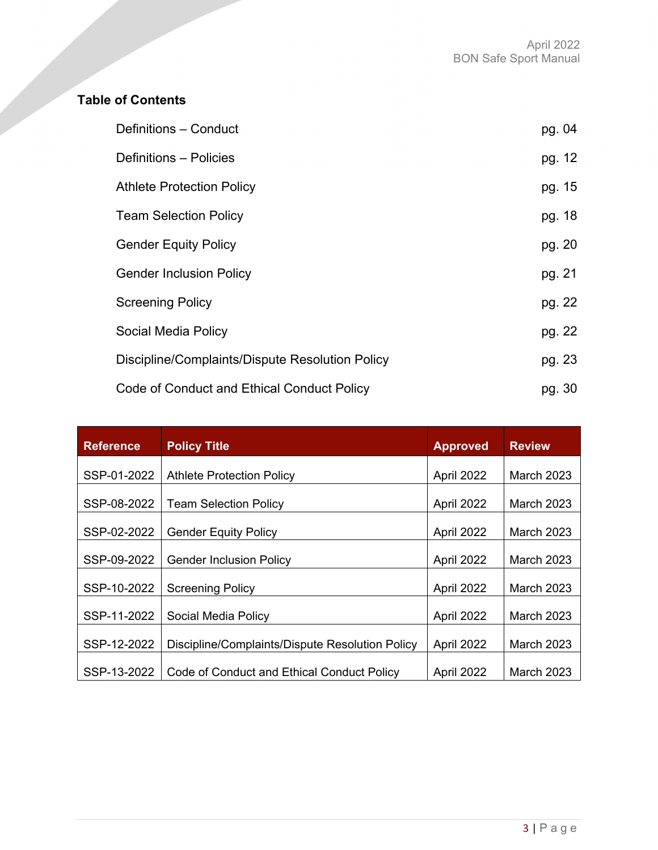# **Table of Contents**

| Definitions - Conduct                           | pg. 04 |
|-------------------------------------------------|--------|
| Definitions - Policies                          | pg. 12 |
| <b>Athlete Protection Policy</b>                | pg. 15 |
| <b>Team Selection Policy</b>                    | pg. 18 |
| <b>Gender Equity Policy</b>                     | pg. 20 |
| <b>Gender Inclusion Policy</b>                  | pg. 21 |
| <b>Screening Policy</b>                         | pg. 22 |
| Social Media Policy                             | pg. 22 |
| Discipline/Complaints/Dispute Resolution Policy | pg. 23 |
| Code of Conduct and Ethical Conduct Policy      | pg. 30 |

| <b>Reference</b> | <b>Policy Title</b>                             | <b>Approved</b> | <b>Review</b>     |
|------------------|-------------------------------------------------|-----------------|-------------------|
| SSP-01-2022      | <b>Athlete Protection Policy</b>                | April 2022      | <b>March 2023</b> |
| SSP-08-2022      | <b>Team Selection Policy</b>                    | April 2022      | <b>March 2023</b> |
| SSP-02-2022      | <b>Gender Equity Policy</b>                     | April 2022      | <b>March 2023</b> |
| SSP-09-2022      | <b>Gender Inclusion Policy</b>                  | April 2022      | <b>March 2023</b> |
| SSP-10-2022      | <b>Screening Policy</b>                         | April 2022      | <b>March 2023</b> |
| SSP-11-2022      | Social Media Policy                             | April 2022      | <b>March 2023</b> |
| SSP-12-2022      | Discipline/Complaints/Dispute Resolution Policy | April 2022      | <b>March 2023</b> |
| SSP-13-2022      | Code of Conduct and Ethical Conduct Policy      | April 2022      | <b>March 2023</b> |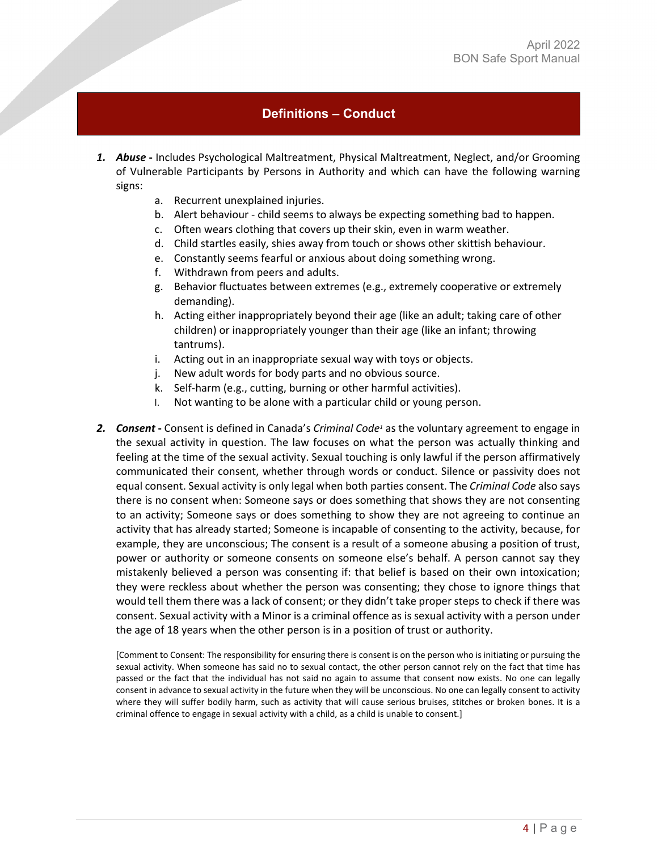# **Definitions – Conduct**

- <span id="page-3-0"></span>*1. Abuse* **-** Includes Psychological Maltreatment, Physical Maltreatment, Neglect, and/or Grooming of Vulnerable Participants by Persons in Authority and which can have the following warning signs:
	- a. Recurrent unexplained injuries.
	- b. Alert behaviour child seems to always be expecting something bad to happen.
	- c. Often wears clothing that covers up their skin, even in warm weather.
	- d. Child startles easily, shies away from touch or shows other skittish behaviour.
	- e. Constantly seems fearful or anxious about doing something wrong.
	- f. Withdrawn from peers and adults.
	- g. Behavior fluctuates between extremes (e.g., extremely cooperative or extremely demanding).
	- h. Acting either inappropriately beyond their age (like an adult; taking care of other children) or inappropriately younger than their age (like an infant; throwing tantrums).
	- i. Acting out in an inappropriate sexual way with toys or objects.
	- j. New adult words for body parts and no obvious source.
	- k. Self-harm (e.g., cutting, burning or other harmful activities).
	- l. Not wanting to be alone with a particular child or young person.
- **2.** *Consent* Consent is defined in Canada's *Criminal Code<sup>1</sup>* as the voluntary agreement to engage in the sexual activity in question. The law focuses on what the person was actually thinking and feeling at the time of the sexual activity. Sexual touching is only lawful if the person affirmatively communicated their consent, whether through words or conduct. Silence or passivity does not equal consent. Sexual activity is only legal when both parties consent. The *Criminal Code* also says there is no consent when: Someone says or does something that shows they are not consenting to an activity; Someone says or does something to show they are not agreeing to continue an activity that has already started; Someone is incapable of consenting to the activity, because, for example, they are unconscious; The consent is a result of a someone abusing a position of trust, power or authority or someone consents on someone else's behalf. A person cannot say they mistakenly believed a person was consenting if: that belief is based on their own intoxication; they were reckless about whether the person was consenting; they chose to ignore things that would tell them there was a lack of consent; or they didn't take proper steps to check if there was consent. Sexual activity with a Minor is a criminal offence as is sexual activity with a person under the age of 18 years when the other person is in a position of trust or authority.

[Comment to Consent: The responsibility for ensuring there is consent is on the person who is initiating or pursuing the sexual activity. When someone has said no to sexual contact, the other person cannot rely on the fact that time has passed or the fact that the individual has not said no again to assume that consent now exists. No one can legally consent in advance to sexual activity in the future when they will be unconscious. No one can legally consent to activity where they will suffer bodily harm, such as activity that will cause serious bruises, stitches or broken bones. It is a criminal offence to engage in sexual activity with a child, as a child is unable to consent.]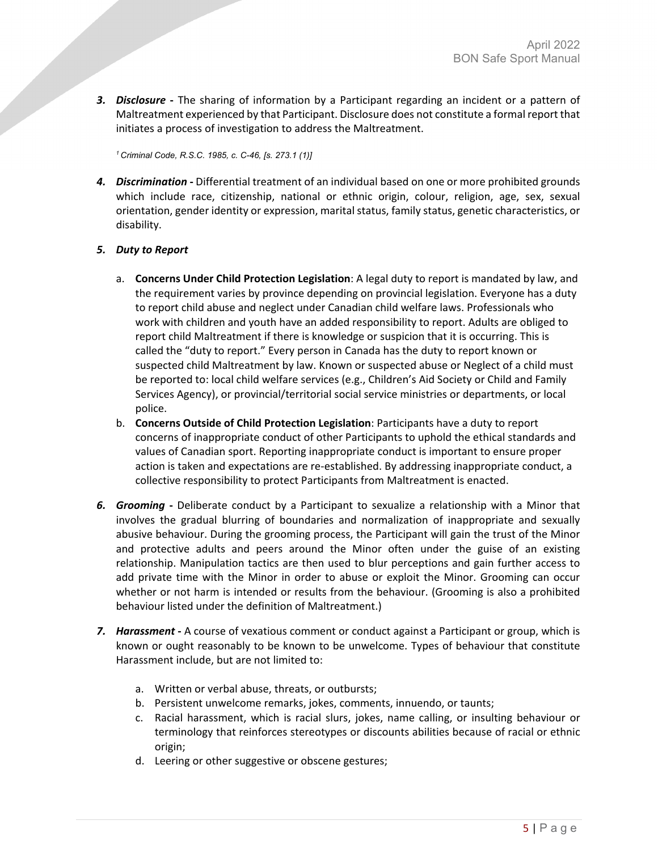*3. Disclosure* **-** The sharing of information by a Participant regarding an incident or a pattern of Maltreatment experienced by that Participant. Disclosure does not constitute a formal report that initiates a process of investigation to address the Maltreatment.

*1 Criminal Code, R.S.C. 1985, c. C-46, [s. 273.1 (1)]*

*4. Discrimination* **-** Differential treatment of an individual based on one or more prohibited grounds which include race, citizenship, national or ethnic origin, colour, religion, age, sex, sexual orientation, gender identity or expression, marital status, family status, genetic characteristics, or disability.

#### *5. Duty to Report*

- a. **Concerns Under Child Protection Legislation**: A legal duty to report is mandated by law, and the requirement varies by province depending on provincial legislation. Everyone has a duty to report child abuse and neglect under Canadian child welfare laws. Professionals who work with children and youth have an added responsibility to report. Adults are obliged to report child Maltreatment if there is knowledge or suspicion that it is occurring. This is called the "duty to report." Every person in Canada has the duty to report known or suspected child Maltreatment by law. Known or suspected abuse or Neglect of a child must be reported to: local child welfare services (e.g., Children's Aid Society or Child and Family Services Agency), or provincial/territorial social service ministries or departments, or local police.
- b. **Concerns Outside of Child Protection Legislation**: Participants have a duty to report concerns of inappropriate conduct of other Participants to uphold the ethical standards and values of Canadian sport. Reporting inappropriate conduct is important to ensure proper action is taken and expectations are re-established. By addressing inappropriate conduct, a collective responsibility to protect Participants from Maltreatment is enacted.
- *6. Grooming* **-** Deliberate conduct by a Participant to sexualize a relationship with a Minor that involves the gradual blurring of boundaries and normalization of inappropriate and sexually abusive behaviour. During the grooming process, the Participant will gain the trust of the Minor and protective adults and peers around the Minor often under the guise of an existing relationship. Manipulation tactics are then used to blur perceptions and gain further access to add private time with the Minor in order to abuse or exploit the Minor. Grooming can occur whether or not harm is intended or results from the behaviour. (Grooming is also a prohibited behaviour listed under the definition of Maltreatment.)
- *7. Harassment* **-** A course of vexatious comment or conduct against a Participant or group, which is known or ought reasonably to be known to be unwelcome. Types of behaviour that constitute Harassment include, but are not limited to:
	- a. Written or verbal abuse, threats, or outbursts;
	- b. Persistent unwelcome remarks, jokes, comments, innuendo, or taunts;
	- c. Racial harassment, which is racial slurs, jokes, name calling, or insulting behaviour or terminology that reinforces stereotypes or discounts abilities because of racial or ethnic origin;
	- d. Leering or other suggestive or obscene gestures;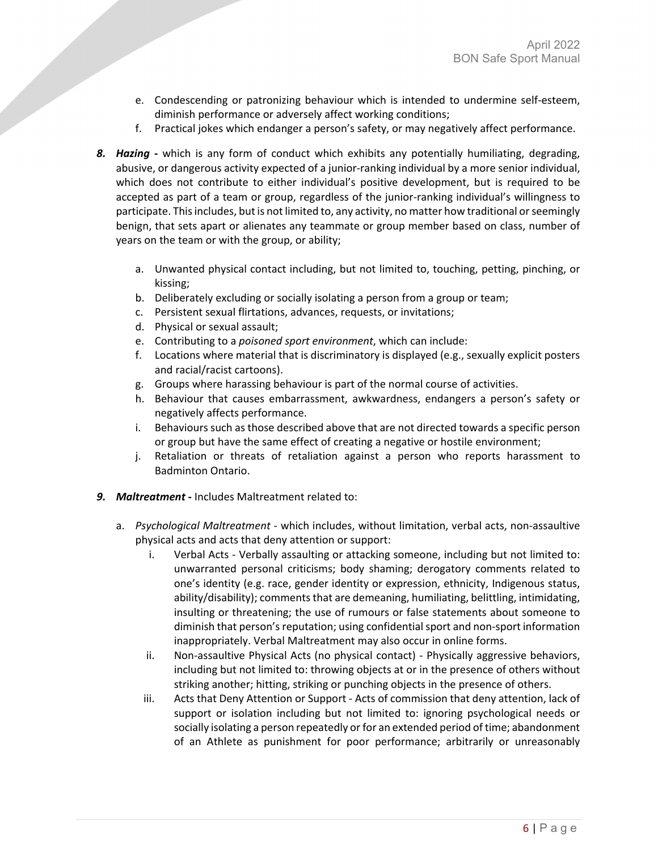- e. Condescending or patronizing behaviour which is intended to undermine self-esteem, diminish performance or adversely affect working conditions;
- f. Practical jokes which endanger a person's safety, or may negatively affect performance.
- *8. Hazing* **-** which is any form of conduct which exhibits any potentially humiliating, degrading, abusive, or dangerous activity expected of a junior-ranking individual by a more senior individual, which does not contribute to either individual's positive development, but is required to be accepted as part of a team or group, regardless of the junior-ranking individual's willingness to participate. This includes, but is not limited to, any activity, no matter how traditional or seemingly benign, that sets apart or alienates any teammate or group member based on class, number of years on the team or with the group, or ability;
	- a. Unwanted physical contact including, but not limited to, touching, petting, pinching, or kissing;
	- b. Deliberately excluding or socially isolating a person from a group or team;
	- c. Persistent sexual flirtations, advances, requests, or invitations;
	- d. Physical or sexual assault;
	- e. Contributing to a *poisoned sport environment*, which can include:
	- f. Locations where material that is discriminatory is displayed (e.g., sexually explicit posters and racial/racist cartoons).
	- g. Groups where harassing behaviour is part of the normal course of activities.
	- h. Behaviour that causes embarrassment, awkwardness, endangers a person's safety or negatively affects performance.
	- i. Behaviours such as those described above that are not directed towards a specific person or group but have the same effect of creating a negative or hostile environment;
	- j. Retaliation or threats of retaliation against a person who reports harassment to Badminton Ontario.
- *9. Maltreatment* **-** Includes Maltreatment related to:
	- a. *Psychological Maltreatment* which includes, without limitation, verbal acts, non-assaultive physical acts and acts that deny attention or support:
		- i. Verbal Acts Verbally assaulting or attacking someone, including but not limited to: unwarranted personal criticisms; body shaming; derogatory comments related to one's identity (e.g. race, gender identity or expression, ethnicity, Indigenous status, ability/disability); comments that are demeaning, humiliating, belittling, intimidating, insulting or threatening; the use of rumours or false statements about someone to diminish that person's reputation; using confidential sport and non-sport information inappropriately. Verbal Maltreatment may also occur in online forms.
		- ii. Non-assaultive Physical Acts (no physical contact) Physically aggressive behaviors, including but not limited to: throwing objects at or in the presence of others without striking another; hitting, striking or punching objects in the presence of others.
		- iii. Acts that Deny Attention or Support Acts of commission that deny attention, lack of support or isolation including but not limited to: ignoring psychological needs or socially isolating a person repeatedly or for an extended period of time; abandonment of an Athlete as punishment for poor performance; arbitrarily or unreasonably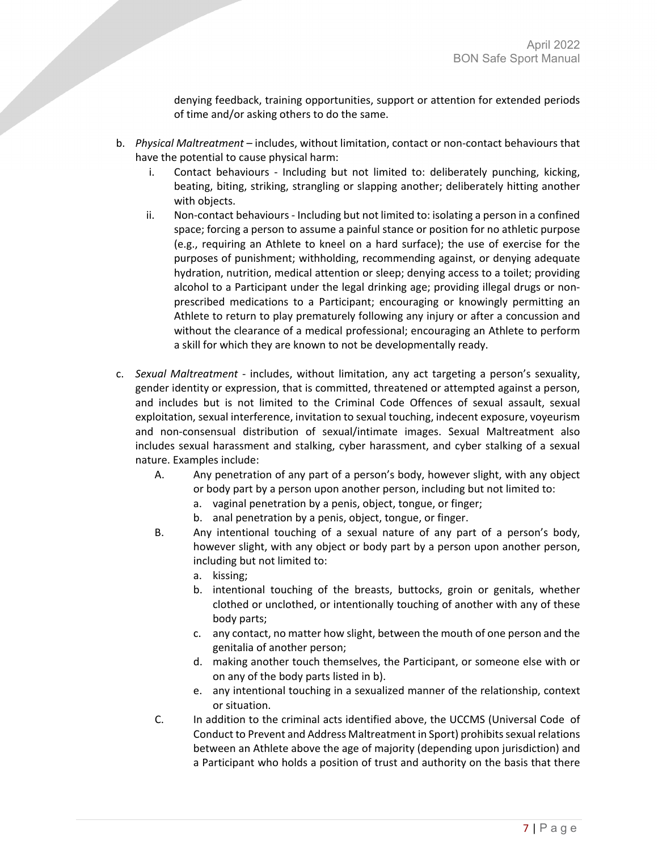denying feedback, training opportunities, support or attention for extended periods of time and/or asking others to do the same.

- b. *Physical Maltreatment*  includes, without limitation, contact or non-contact behaviours that have the potential to cause physical harm:
	- i. Contact behaviours Including but not limited to: deliberately punching, kicking, beating, biting, striking, strangling or slapping another; deliberately hitting another with objects.
	- ii. Non-contact behaviours Including but not limited to: isolating a person in a confined space; forcing a person to assume a painful stance or position for no athletic purpose (e.g., requiring an Athlete to kneel on a hard surface); the use of exercise for the purposes of punishment; withholding, recommending against, or denying adequate hydration, nutrition, medical attention or sleep; denying access to a toilet; providing alcohol to a Participant under the legal drinking age; providing illegal drugs or nonprescribed medications to a Participant; encouraging or knowingly permitting an Athlete to return to play prematurely following any injury or after a concussion and without the clearance of a medical professional; encouraging an Athlete to perform a skill for which they are known to not be developmentally ready.
- c. *Sexual Maltreatment* includes, without limitation, any act targeting a person's sexuality, gender identity or expression, that is committed, threatened or attempted against a person, and includes but is not limited to the Criminal Code Offences of sexual assault, sexual exploitation, sexual interference, invitation to sexual touching, indecent exposure, voyeurism and non-consensual distribution of sexual/intimate images. Sexual Maltreatment also includes sexual harassment and stalking, cyber harassment, and cyber stalking of a sexual nature. Examples include:
	- A. Any penetration of any part of a person's body, however slight, with any object or body part by a person upon another person, including but not limited to:
		- a. vaginal penetration by a penis, object, tongue, or finger;
		- b. anal penetration by a penis, object, tongue, or finger.
	- B. Any intentional touching of a sexual nature of any part of a person's body, however slight, with any object or body part by a person upon another person, including but not limited to:
		- a. kissing;
		- b. intentional touching of the breasts, buttocks, groin or genitals, whether clothed or unclothed, or intentionally touching of another with any of these body parts;
		- c. any contact, no matter how slight, between the mouth of one person and the genitalia of another person;
		- d. making another touch themselves, the Participant, or someone else with or on any of the body parts listed in b).
		- e. any intentional touching in a sexualized manner of the relationship, context or situation.
	- C. In addition to the criminal acts identified above, the UCCMS (Universal Code of Conduct to Prevent and Address Maltreatment in Sport) prohibits sexual relations between an Athlete above the age of majority (depending upon jurisdiction) and a Participant who holds a position of trust and authority on the basis that there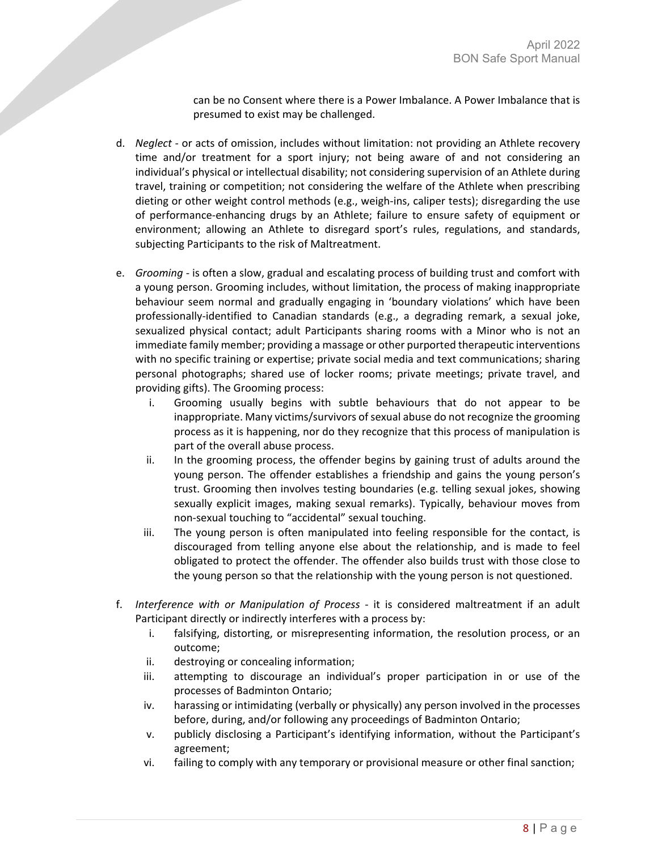can be no Consent where there is a Power Imbalance. A Power Imbalance that is presumed to exist may be challenged.

- d. *Neglect* or acts of omission, includes without limitation: not providing an Athlete recovery time and/or treatment for a sport injury; not being aware of and not considering an individual's physical or intellectual disability; not considering supervision of an Athlete during travel, training or competition; not considering the welfare of the Athlete when prescribing dieting or other weight control methods (e.g., weigh-ins, caliper tests); disregarding the use of performance-enhancing drugs by an Athlete; failure to ensure safety of equipment or environment; allowing an Athlete to disregard sport's rules, regulations, and standards, subjecting Participants to the risk of Maltreatment.
- e. *Grooming* is often a slow, gradual and escalating process of building trust and comfort with a young person. Grooming includes, without limitation, the process of making inappropriate behaviour seem normal and gradually engaging in 'boundary violations' which have been professionally-identified to Canadian standards (e.g., a degrading remark, a sexual joke, sexualized physical contact; adult Participants sharing rooms with a Minor who is not an immediate family member; providing a massage or other purported therapeutic interventions with no specific training or expertise; private social media and text communications; sharing personal photographs; shared use of locker rooms; private meetings; private travel, and providing gifts). The Grooming process:
	- i. Grooming usually begins with subtle behaviours that do not appear to be inappropriate. Many victims/survivors of sexual abuse do not recognize the grooming process as it is happening, nor do they recognize that this process of manipulation is part of the overall abuse process.
	- ii. In the grooming process, the offender begins by gaining trust of adults around the young person. The offender establishes a friendship and gains the young person's trust. Grooming then involves testing boundaries (e.g. telling sexual jokes, showing sexually explicit images, making sexual remarks). Typically, behaviour moves from non-sexual touching to "accidental" sexual touching.
	- iii. The young person is often manipulated into feeling responsible for the contact, is discouraged from telling anyone else about the relationship, and is made to feel obligated to protect the offender. The offender also builds trust with those close to the young person so that the relationship with the young person is not questioned.
- f. *Interference with or Manipulation of Process* it is considered maltreatment if an adult Participant directly or indirectly interferes with a process by:
	- i. falsifying, distorting, or misrepresenting information, the resolution process, or an outcome;
	- ii. destroying or concealing information;
	- iii. attempting to discourage an individual's proper participation in or use of the processes of Badminton Ontario;
	- iv. harassing or intimidating (verbally or physically) any person involved in the processes before, during, and/or following any proceedings of Badminton Ontario;
	- v. publicly disclosing a Participant's identifying information, without the Participant's agreement;
	- vi. failing to comply with any temporary or provisional measure or other final sanction;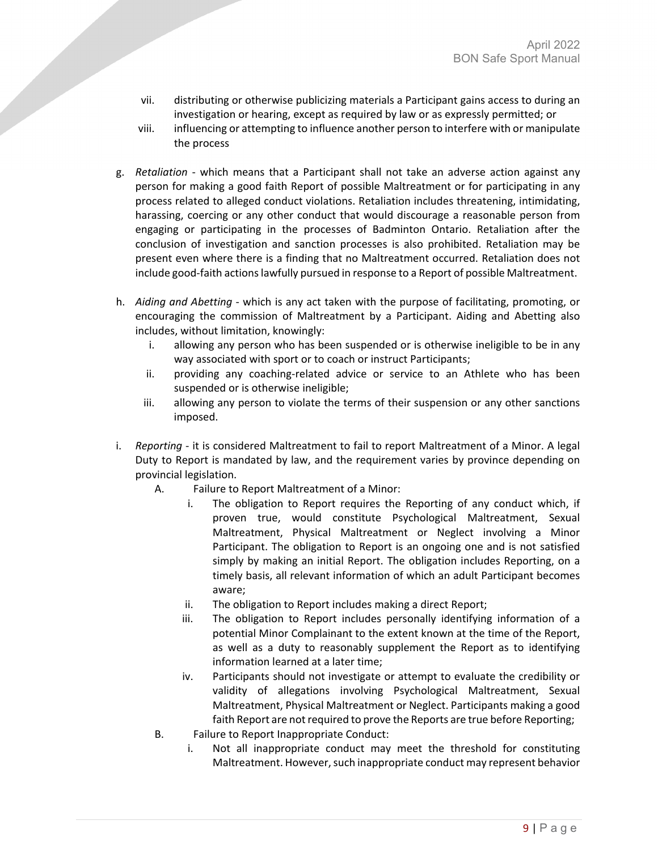- vii. distributing or otherwise publicizing materials a Participant gains access to during an investigation or hearing, except as required by law or as expressly permitted; or
- viii. influencing or attempting to influence another person to interfere with or manipulate the process
- g. *Retaliation* which means that a Participant shall not take an adverse action against any person for making a good faith Report of possible Maltreatment or for participating in any process related to alleged conduct violations. Retaliation includes threatening, intimidating, harassing, coercing or any other conduct that would discourage a reasonable person from engaging or participating in the processes of Badminton Ontario. Retaliation after the conclusion of investigation and sanction processes is also prohibited. Retaliation may be present even where there is a finding that no Maltreatment occurred. Retaliation does not include good-faith actions lawfully pursued in response to a Report of possible Maltreatment.
- h. *Aiding and Abetting* which is any act taken with the purpose of facilitating, promoting, or encouraging the commission of Maltreatment by a Participant. Aiding and Abetting also includes, without limitation, knowingly:
	- i. allowing any person who has been suspended or is otherwise ineligible to be in any way associated with sport or to coach or instruct Participants;
	- ii. providing any coaching-related advice or service to an Athlete who has been suspended or is otherwise ineligible;
	- iii. allowing any person to violate the terms of their suspension or any other sanctions imposed.
- i. *Reporting* it is considered Maltreatment to fail to report Maltreatment of a Minor. A legal Duty to Report is mandated by law, and the requirement varies by province depending on provincial legislation.
	- A. Failure to Report Maltreatment of a Minor:
		- i. The obligation to Report requires the Reporting of any conduct which, if proven true, would constitute Psychological Maltreatment, Sexual Maltreatment, Physical Maltreatment or Neglect involving a Minor Participant. The obligation to Report is an ongoing one and is not satisfied simply by making an initial Report. The obligation includes Reporting, on a timely basis, all relevant information of which an adult Participant becomes aware;
		- ii. The obligation to Report includes making a direct Report;
		- iii. The obligation to Report includes personally identifying information of a potential Minor Complainant to the extent known at the time of the Report, as well as a duty to reasonably supplement the Report as to identifying information learned at a later time;
		- iv. Participants should not investigate or attempt to evaluate the credibility or validity of allegations involving Psychological Maltreatment, Sexual Maltreatment, Physical Maltreatment or Neglect. Participants making a good faith Report are not required to prove the Reports are true before Reporting;
	- B. Failure to Report Inappropriate Conduct:
		- i. Not all inappropriate conduct may meet the threshold for constituting Maltreatment. However, such inappropriate conduct may represent behavior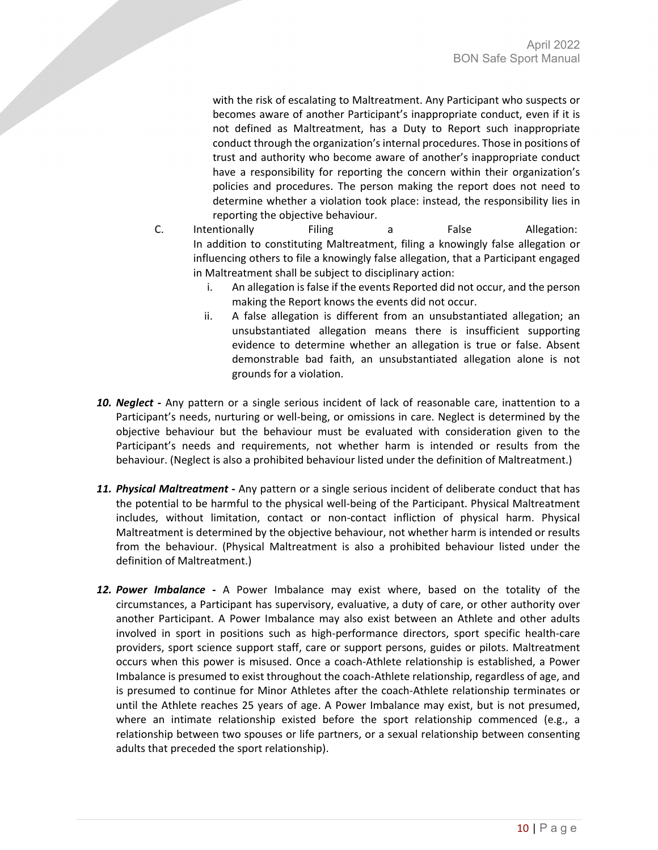with the risk of escalating to Maltreatment. Any Participant who suspects or becomes aware of another Participant's inappropriate conduct, even if it is not defined as Maltreatment, has a Duty to Report such inappropriate conduct through the organization's internal procedures. Those in positions of trust and authority who become aware of another's inappropriate conduct have a responsibility for reporting the concern within their organization's policies and procedures. The person making the report does not need to determine whether a violation took place: instead, the responsibility lies in reporting the objective behaviour.

- C. Intentionally Filing a False Allegation: In addition to constituting Maltreatment, filing a knowingly false allegation or influencing others to file a knowingly false allegation, that a Participant engaged in Maltreatment shall be subject to disciplinary action:
	- i. An allegation is false if the events Reported did not occur, and the person making the Report knows the events did not occur.
	- ii. A false allegation is different from an unsubstantiated allegation; an unsubstantiated allegation means there is insufficient supporting evidence to determine whether an allegation is true or false. Absent demonstrable bad faith, an unsubstantiated allegation alone is not grounds for a violation.
- *10. Neglect* **-** Any pattern or a single serious incident of lack of reasonable care, inattention to a Participant's needs, nurturing or well-being, or omissions in care. Neglect is determined by the objective behaviour but the behaviour must be evaluated with consideration given to the Participant's needs and requirements, not whether harm is intended or results from the behaviour. (Neglect is also a prohibited behaviour listed under the definition of Maltreatment.)
- *11. Physical Maltreatment* **-** Any pattern or a single serious incident of deliberate conduct that has the potential to be harmful to the physical well-being of the Participant. Physical Maltreatment includes, without limitation, contact or non-contact infliction of physical harm. Physical Maltreatment is determined by the objective behaviour, not whether harm is intended or results from the behaviour. (Physical Maltreatment is also a prohibited behaviour listed under the definition of Maltreatment.)
- *12. Power Imbalance* **-** A Power Imbalance may exist where, based on the totality of the circumstances, a Participant has supervisory, evaluative, a duty of care, or other authority over another Participant. A Power Imbalance may also exist between an Athlete and other adults involved in sport in positions such as high-performance directors, sport specific health-care providers, sport science support staff, care or support persons, guides or pilots. Maltreatment occurs when this power is misused. Once a coach-Athlete relationship is established, a Power Imbalance is presumed to exist throughout the coach-Athlete relationship, regardless of age, and is presumed to continue for Minor Athletes after the coach-Athlete relationship terminates or until the Athlete reaches 25 years of age. A Power Imbalance may exist, but is not presumed, where an intimate relationship existed before the sport relationship commenced (e.g., a relationship between two spouses or life partners, or a sexual relationship between consenting adults that preceded the sport relationship).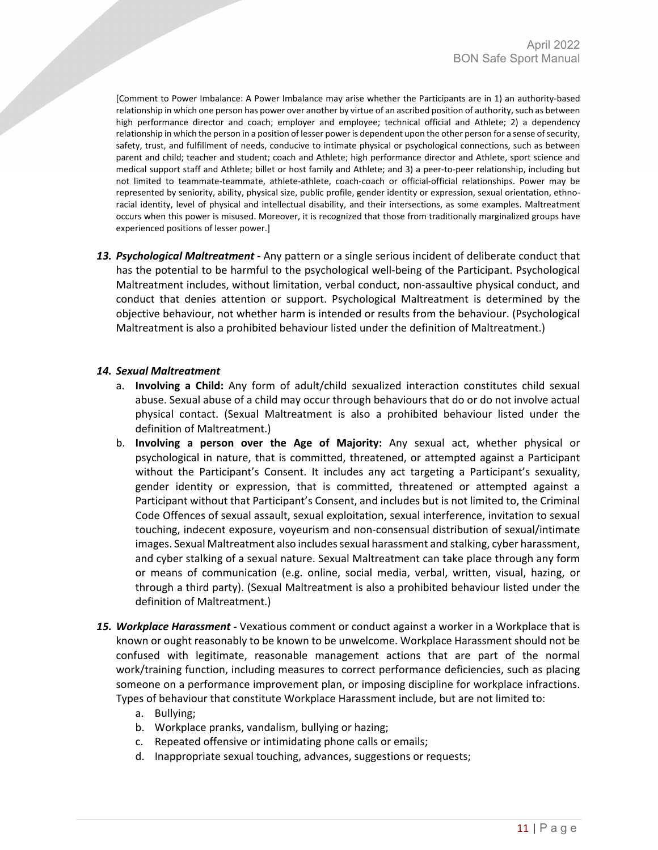[Comment to Power Imbalance: A Power Imbalance may arise whether the Participants are in 1) an authority-based relationship in which one person has power over another by virtue of an ascribed position of authority, such as between high performance director and coach; employer and employee; technical official and Athlete; 2) a dependency relationship in which the person in a position of lesser power is dependent upon the other person for a sense of security, safety, trust, and fulfillment of needs, conducive to intimate physical or psychological connections, such as between parent and child; teacher and student; coach and Athlete; high performance director and Athlete, sport science and medical support staff and Athlete; billet or host family and Athlete; and 3) a peer-to-peer relationship, including but not limited to teammate-teammate, athlete-athlete, coach-coach or official-official relationships. Power may be represented by seniority, ability, physical size, public profile, gender identity or expression, sexual orientation, ethnoracial identity, level of physical and intellectual disability, and their intersections, as some examples. Maltreatment occurs when this power is misused. Moreover, it is recognized that those from traditionally marginalized groups have experienced positions of lesser power.]

*13. Psychological Maltreatment* **-** Any pattern or a single serious incident of deliberate conduct that has the potential to be harmful to the psychological well-being of the Participant. Psychological Maltreatment includes, without limitation, verbal conduct, non-assaultive physical conduct, and conduct that denies attention or support. Psychological Maltreatment is determined by the objective behaviour, not whether harm is intended or results from the behaviour. (Psychological Maltreatment is also a prohibited behaviour listed under the definition of Maltreatment.)

#### *14. Sexual Maltreatment*

- a. **Involving a Child:** Any form of adult/child sexualized interaction constitutes child sexual abuse. Sexual abuse of a child may occur through behaviours that do or do not involve actual physical contact. (Sexual Maltreatment is also a prohibited behaviour listed under the definition of Maltreatment.)
- b. **Involving a person over the Age of Majority:** Any sexual act, whether physical or psychological in nature, that is committed, threatened, or attempted against a Participant without the Participant's Consent. It includes any act targeting a Participant's sexuality, gender identity or expression, that is committed, threatened or attempted against a Participant without that Participant's Consent, and includes but is not limited to, the Criminal Code Offences of sexual assault, sexual exploitation, sexual interference, invitation to sexual touching, indecent exposure, voyeurism and non-consensual distribution of sexual/intimate images. Sexual Maltreatment also includes sexual harassment and stalking, cyber harassment, and cyber stalking of a sexual nature. Sexual Maltreatment can take place through any form or means of communication (e.g. online, social media, verbal, written, visual, hazing, or through a third party). (Sexual Maltreatment is also a prohibited behaviour listed under the definition of Maltreatment.)
- *15. Workplace Harassment* **-** Vexatious comment or conduct against a worker in a Workplace that is known or ought reasonably to be known to be unwelcome. Workplace Harassment should not be confused with legitimate, reasonable management actions that are part of the normal work/training function, including measures to correct performance deficiencies, such as placing someone on a performance improvement plan, or imposing discipline for workplace infractions. Types of behaviour that constitute Workplace Harassment include, but are not limited to:
	- a. Bullying;
	- b. Workplace pranks, vandalism, bullying or hazing;
	- c. Repeated offensive or intimidating phone calls or emails;
	- d. Inappropriate sexual touching, advances, suggestions or requests;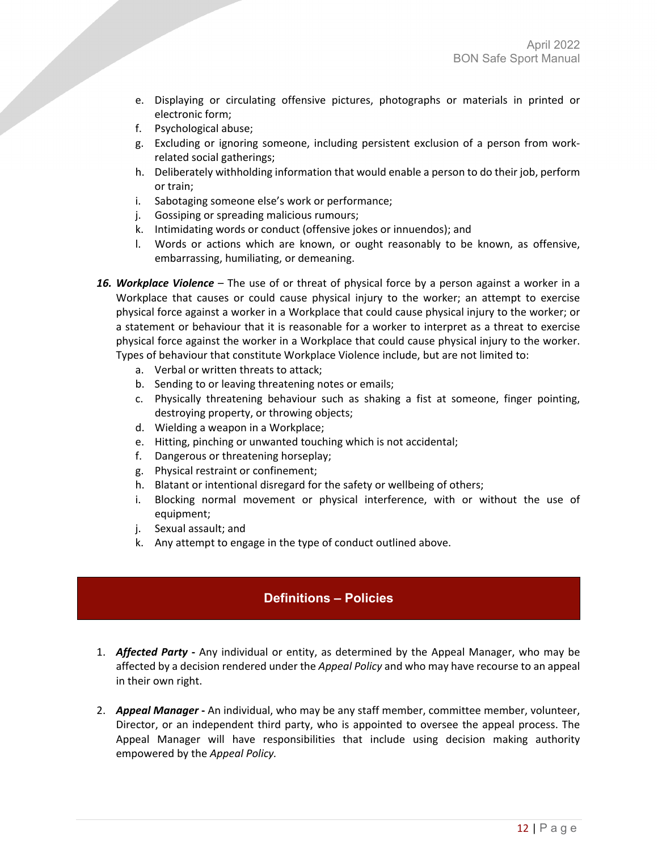- e. Displaying or circulating offensive pictures, photographs or materials in printed or electronic form;
- f. Psychological abuse;
- g. Excluding or ignoring someone, including persistent exclusion of a person from workrelated social gatherings;
- h. Deliberately withholding information that would enable a person to do their job, perform or train;
- i. Sabotaging someone else's work or performance;
- j. Gossiping or spreading malicious rumours;
- k. Intimidating words or conduct (offensive jokes or innuendos); and
- l. Words or actions which are known, or ought reasonably to be known, as offensive, embarrassing, humiliating, or demeaning.
- *16. Workplace Violence* The use of or threat of physical force by a person against a worker in a Workplace that causes or could cause physical injury to the worker; an attempt to exercise physical force against a worker in a Workplace that could cause physical injury to the worker; or a statement or behaviour that it is reasonable for a worker to interpret as a threat to exercise physical force against the worker in a Workplace that could cause physical injury to the worker. Types of behaviour that constitute Workplace Violence include, but are not limited to:
	- a. Verbal or written threats to attack;
	- b. Sending to or leaving threatening notes or emails;
	- c. Physically threatening behaviour such as shaking a fist at someone, finger pointing, destroying property, or throwing objects;
	- d. Wielding a weapon in a Workplace;
	- e. Hitting, pinching or unwanted touching which is not accidental;
	- f. Dangerous or threatening horseplay;
	- g. Physical restraint or confinement;
	- h. Blatant or intentional disregard for the safety or wellbeing of others;
	- i. Blocking normal movement or physical interference, with or without the use of equipment;
	- j. Sexual assault; and
	- k. Any attempt to engage in the type of conduct outlined above.

# **Definitions – Policies**

- <span id="page-11-0"></span>1. *Affected Party* **-** Any individual or entity, as determined by the Appeal Manager, who may be affected by a decision rendered under the *Appeal Policy* and who may have recourse to an appeal in their own right.
- 2. *Appeal Manager*An individual, who may be any staff member, committee member, volunteer, Director, or an independent third party, who is appointed to oversee the appeal process. The Appeal Manager will have responsibilities that include using decision making authority empowered by the *Appeal Policy.*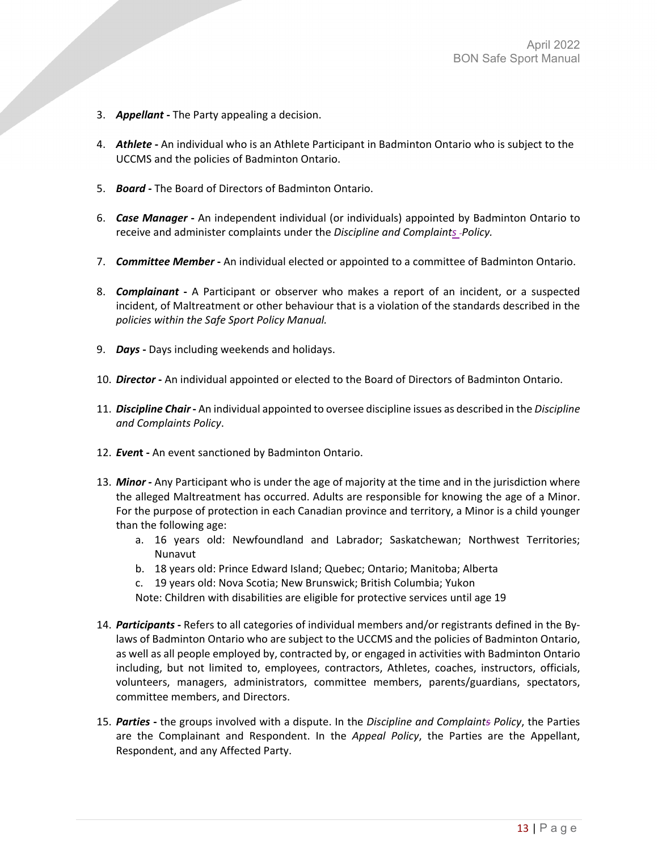- 3. *Appellant*The Party appealing a decision.
- 4. *Athlete*An individual who is an Athlete Participant in Badminton Ontario who is subject to the UCCMS and the policies of Badminton Ontario.
- 5. *Board*The Board of Directors of Badminton Ontario.
- 6. *Case Manager*An independent individual (or individuals) appointed by Badminton Ontario to receive and administer complaints under the *Discipline and Complaints Policy.*
- 7. *Committee Member*An individual elected or appointed to a committee of Badminton Ontario.
- 8. *Complainant*A Participant or observer who makes a report of an incident, or a suspected incident, of Maltreatment or other behaviour that is a violation of the standards described in the *policies within the Safe Sport Policy Manual.*
- 9. *Days*Days including weekends and holidays.
- 10. *Director*An individual appointed or elected to the Board of Directors of Badminton Ontario.
- 11. *Discipline Chair*An individual appointed to oversee discipline issues as described in the *Discipline and Complaints Policy*.
- 12. *Even***t** An event sanctioned by Badminton Ontario.
- 13. *Minor* Any Participant who is under the age of majority at the time and in the jurisdiction where the alleged Maltreatment has occurred. Adults are responsible for knowing the age of a Minor. For the purpose of protection in each Canadian province and territory, a Minor is a child younger than the following age:
	- a. 16 years old: Newfoundland and Labrador; Saskatchewan; Northwest Territories; Nunavut
	- b. 18 years old: Prince Edward Island; Quebec; Ontario; Manitoba; Alberta
	- c. 19 years old: Nova Scotia; New Brunswick; British Columbia; Yukon

Note: Children with disabilities are eligible for protective services until age 19

- 14. *Participants*Refers to all categories of individual members and/or registrants defined in the Bylaws of Badminton Ontario who are subject to the UCCMS and the policies of Badminton Ontario, as well as all people employed by, contracted by, or engaged in activities with Badminton Ontario including, but not limited to, employees, contractors, Athletes, coaches, instructors, officials, volunteers, managers, administrators, committee members, parents/guardians, spectators, committee members, and Directors.
- 15. *Parties*the groups involved with a dispute. In the *Discipline and Complaints Policy*, the Parties are the Complainant and Respondent. In the *Appeal Policy*, the Parties are the Appellant, Respondent, and any Affected Party.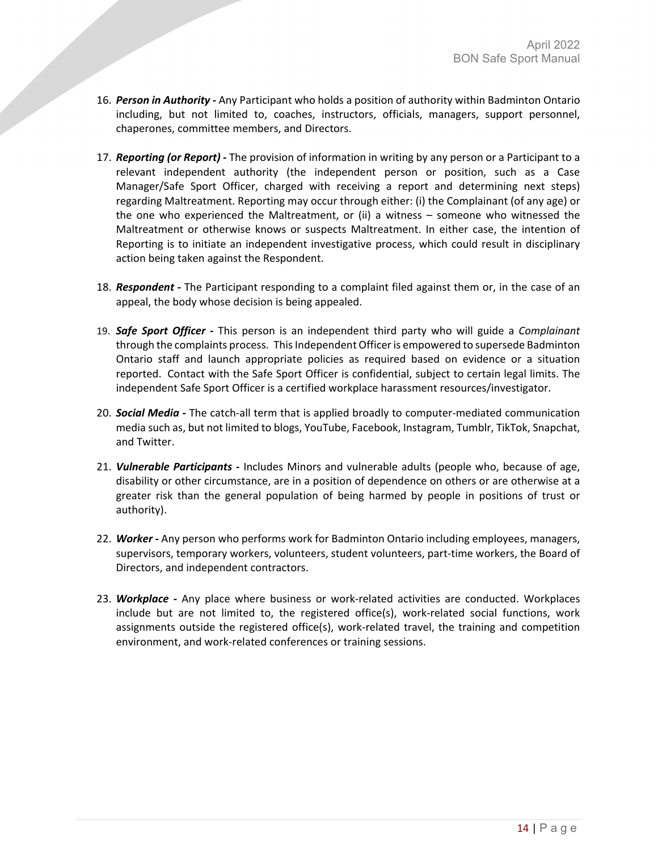- 16. *Person in Authority*Any Participant who holds a position of authority within Badminton Ontario including, but not limited to, coaches, instructors, officials, managers, support personnel, chaperones, committee members, and Directors.
- 17. *Reporting (or Report)*The provision of information in writing by any person or a Participant to a relevant independent authority (the independent person or position, such as a Case Manager/Safe Sport Officer, charged with receiving a report and determining next steps) regarding Maltreatment. Reporting may occur through either: (i) the Complainant (of any age) or the one who experienced the Maltreatment, or (ii) a witness – someone who witnessed the Maltreatment or otherwise knows or suspects Maltreatment. In either case, the intention of Reporting is to initiate an independent investigative process, which could result in disciplinary action being taken against the Respondent.
- 18. *Respondent*The Participant responding to a complaint filed against them or, in the case of an appeal, the body whose decision is being appealed.
- 19. *Safe Sport Officer*This person is an independent third party who will guide a *Complainant* through the complaints process.  This Independent Officer is empowered to supersede Badminton Ontario staff and launch appropriate policies as required based on evidence or a situation reported.  Contact with the Safe Sport Officer is confidential, subject to certain legal limits. The independent Safe Sport Officer is a certified workplace harassment resources/investigator.
- 20. *Social Media*The catch-all term that is applied broadly to computer-mediated communication media such as, but not limited to blogs, YouTube, Facebook, Instagram, Tumblr, TikTok, Snapchat, and Twitter.
- 21. *Vulnerable Participants*Includes Minors and vulnerable adults (people who, because of age, disability or other circumstance, are in a position of dependence on others or are otherwise at a greater risk than the general population of being harmed by people in positions of trust or authority).
- 22. *Worker*Any person who performs work for Badminton Ontario including employees, managers, supervisors, temporary workers, volunteers, student volunteers, part-time workers, the Board of Directors, and independent contractors.
- 23. *Workplace*Any place where business or work-related activities are conducted. Workplaces include but are not limited to, the registered office(s), work-related social functions, work assignments outside the registered office(s), work-related travel, the training and competition environment, and work-related conferences or training sessions.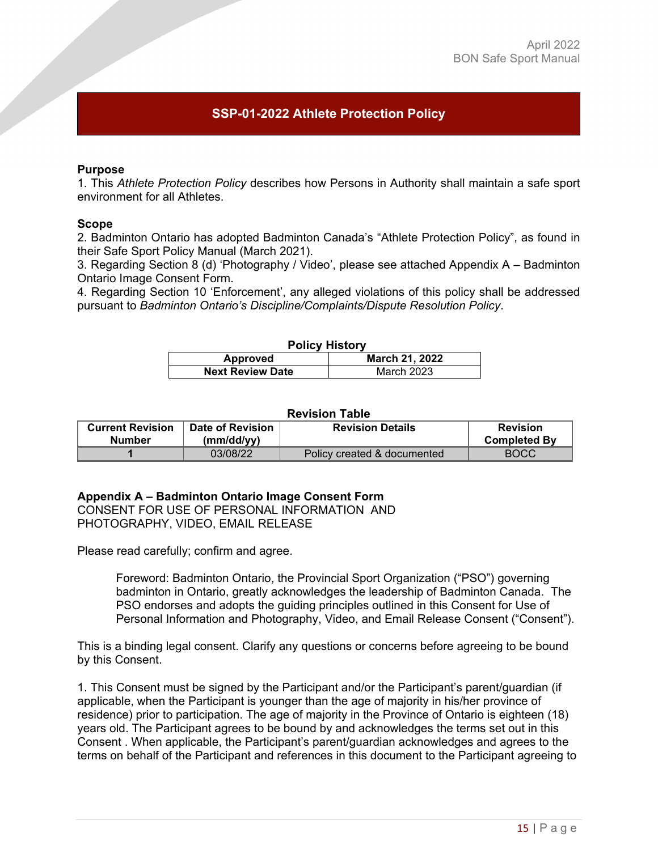# <span id="page-14-0"></span>**SSP-01-2022 Athlete Protection Policy**

#### **Purpose**

1. This *Athlete Protection Policy* describes how Persons in Authority shall maintain a safe sport environment for all Athletes.  

#### **Scope**

2. Badminton Ontario has adopted Badminton Canada's "Athlete Protection Policy", as found in their Safe Sport Policy Manual (March 2021).

3. Regarding Section 8 (d) 'Photography / Video', please see attached Appendix A – Badminton Ontario Image Consent Form.  

4. Regarding Section 10 'Enforcement', any alleged violations of this policy shall be addressed pursuant to *Badminton Ontario's Discipline/Complaints/Dispute Resolution Policy*. 

#### **Policy History Approved March 21, 2022 Next Review Date Next Review Date**

#### **Revision Table**

| <b>Current Revision</b> | Date of Revision | <b>Revision Details</b>     | <b>Revision</b>     |
|-------------------------|------------------|-----------------------------|---------------------|
| <b>Number</b>           | (mm/dd/vv)       |                             | <b>Completed By</b> |
|                         | 03/08/22         | Policy created & documented | <b>BOCC</b>         |

#### **Appendix A – Badminton Ontario Image Consent Form**

CONSENT FOR USE OF PERSONAL INFORMATION AND PHOTOGRAPHY, VIDEO, EMAIL RELEASE

Please read carefully; confirm and agree.

Foreword: Badminton Ontario, the Provincial Sport Organization ("PSO") governing badminton in Ontario, greatly acknowledges the leadership of Badminton Canada. The PSO endorses and adopts the guiding principles outlined in this Consent for Use of Personal Information and Photography, Video, and Email Release Consent ("Consent").

This is a binding legal consent. Clarify any questions or concerns before agreeing to be bound by this Consent.

1. This Consent must be signed by the Participant and/or the Participant's parent/guardian (if applicable, when the Participant is younger than the age of majority in his/her province of residence) prior to participation. The age of majority in the Province of Ontario is eighteen (18) years old. The Participant agrees to be bound by and acknowledges the terms set out in this Consent . When applicable, the Participant's parent/guardian acknowledges and agrees to the terms on behalf of the Participant and references in this document to the Participant agreeing to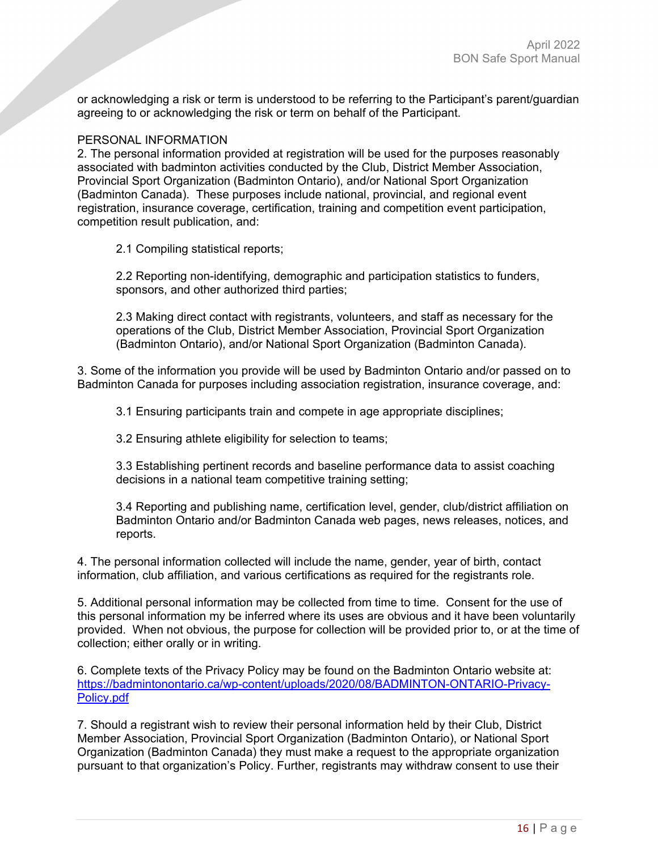or acknowledging a risk or term is understood to be referring to the Participant's parent/guardian agreeing to or acknowledging the risk or term on behalf of the Participant.

#### PERSONAL INFORMATION

2. The personal information provided at registration will be used for the purposes reasonably associated with badminton activities conducted by the Club, District Member Association, Provincial Sport Organization (Badminton Ontario), and/or National Sport Organization (Badminton Canada). These purposes include national, provincial, and regional event registration, insurance coverage, certification, training and competition event participation, competition result publication, and:

2.1 Compiling statistical reports;

2.2 Reporting non-identifying, demographic and participation statistics to funders, sponsors, and other authorized third parties;

2.3 Making direct contact with registrants, volunteers, and staff as necessary for the operations of the Club, District Member Association, Provincial Sport Organization (Badminton Ontario), and/or National Sport Organization (Badminton Canada).

3. Some of the information you provide will be used by Badminton Ontario and/or passed on to Badminton Canada for purposes including association registration, insurance coverage, and:

3.1 Ensuring participants train and compete in age appropriate disciplines;

3.2 Ensuring athlete eligibility for selection to teams;

3.3 Establishing pertinent records and baseline performance data to assist coaching decisions in a national team competitive training setting;

3.4 Reporting and publishing name, certification level, gender, club/district affiliation on Badminton Ontario and/or Badminton Canada web pages, news releases, notices, and reports.

4. The personal information collected will include the name, gender, year of birth, contact information, club affiliation, and various certifications as required for the registrants role.

5. Additional personal information may be collected from time to time. Consent for the use of this personal information my be inferred where its uses are obvious and it have been voluntarily provided. When not obvious, the purpose for collection will be provided prior to, or at the time of collection; either orally or in writing.

6. Complete texts of the Privacy Policy may be found on the Badminton Ontario website at: [https://badmintonontario.ca/wp-content/uploads/2020/08/BADMINTON-ONTARIO-Privacy-](https://badmintonontario.ca/wp-content/uploads/2020/08/BADMINTON-ONTARIO-Privacy-Policy.pdf)[Policy.pdf](https://badmintonontario.ca/wp-content/uploads/2020/08/BADMINTON-ONTARIO-Privacy-Policy.pdf) 

7. Should a registrant wish to review their personal information held by their Club, District Member Association, Provincial Sport Organization (Badminton Ontario), or National Sport Organization (Badminton Canada) they must make a request to the appropriate organization pursuant to that organization's Policy. Further, registrants may withdraw consent to use their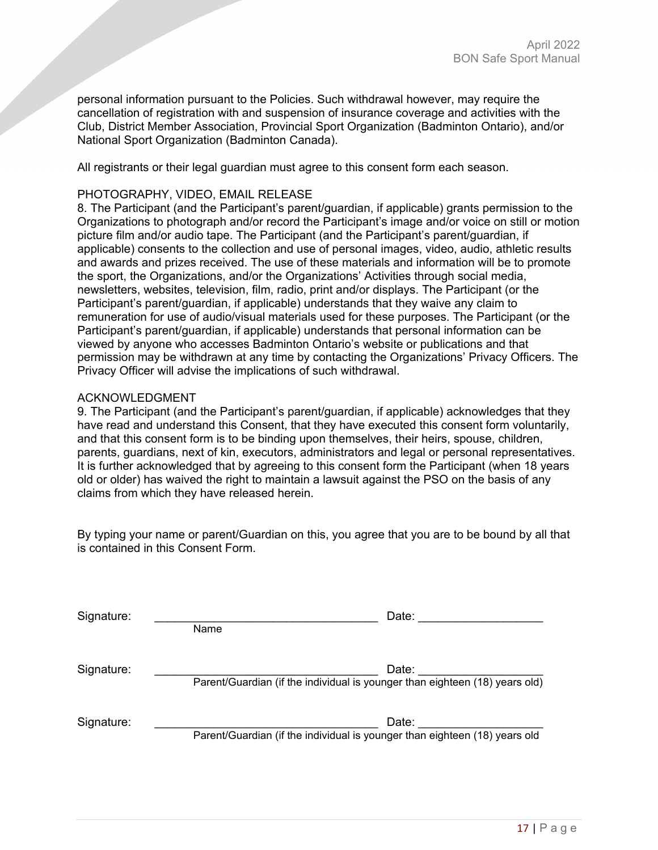personal information pursuant to the Policies. Such withdrawal however, may require the cancellation of registration with and suspension of insurance coverage and activities with the Club, District Member Association, Provincial Sport Organization (Badminton Ontario), and/or National Sport Organization (Badminton Canada).

All registrants or their legal guardian must agree to this consent form each season.

# PHOTOGRAPHY, VIDEO, EMAIL RELEASE

8. The Participant (and the Participant's parent/guardian, if applicable) grants permission to the Organizations to photograph and/or record the Participant's image and/or voice on still or motion picture film and/or audio tape. The Participant (and the Participant's parent/guardian, if applicable) consents to the collection and use of personal images, video, audio, athletic results and awards and prizes received. The use of these materials and information will be to promote the sport, the Organizations, and/or the Organizations' Activities through social media, newsletters, websites, television, film, radio, print and/or displays. The Participant (or the Participant's parent/guardian, if applicable) understands that they waive any claim to remuneration for use of audio/visual materials used for these purposes. The Participant (or the Participant's parent/guardian, if applicable) understands that personal information can be viewed by anyone who accesses Badminton Ontario's website or publications and that permission may be withdrawn at any time by contacting the Organizations' Privacy Officers. The Privacy Officer will advise the implications of such withdrawal.

# ACKNOWLEDGMENT

9. The Participant (and the Participant's parent/guardian, if applicable) acknowledges that they have read and understand this Consent, that they have executed this consent form voluntarily, and that this consent form is to be binding upon themselves, their heirs, spouse, children, parents, guardians, next of kin, executors, administrators and legal or personal representatives. It is further acknowledged that by agreeing to this consent form the Participant (when 18 years old or older) has waived the right to maintain a lawsuit against the PSO on the basis of any claims from which they have released herein.

By typing your name or parent/Guardian on this, you agree that you are to be bound by all that is contained in this Consent Form.

| Signature: | Name                                                                        | Date: |
|------------|-----------------------------------------------------------------------------|-------|
| Signature: | Parent/Guardian (if the individual is younger than eighteen (18) years old) | Date: |
| Signature: | Parent/Guardian (if the individual is younger than eighteen (18) years old  | Date: |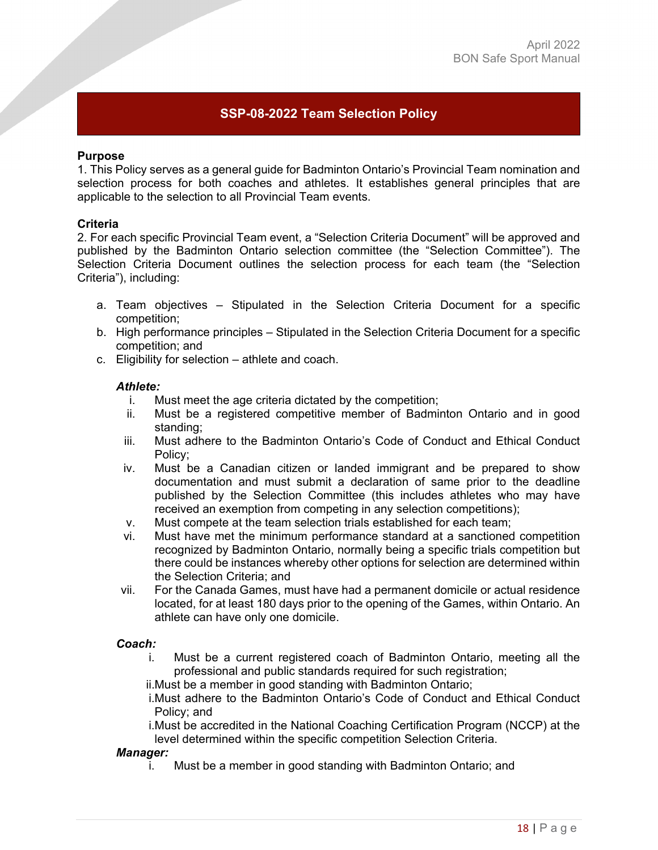# <span id="page-17-0"></span>**SSP-08-2022 Team Selection Policy**

#### **Purpose**

1. This Policy serves as a general guide for Badminton Ontario's Provincial Team nomination and selection process for both coaches and athletes. It establishes general principles that are applicable to the selection to all Provincial Team events.

#### **Criteria**

2. For each specific Provincial Team event, a "Selection Criteria Document" will be approved and published by the Badminton Ontario selection committee (the "Selection Committee"). The Selection Criteria Document outlines the selection process for each team (the "Selection Criteria"), including:

- a. Team objectives Stipulated in the Selection Criteria Document for a specific competition;
- b. High performance principles Stipulated in the Selection Criteria Document for a specific competition; and
- c. Eligibility for selection athlete and coach.

#### *Athlete:*

- i. Must meet the age criteria dictated by the competition;
- ii. Must be a registered competitive member of Badminton Ontario and in good standing;
- iii. Must adhere to the Badminton Ontario's Code of Conduct and Ethical Conduct Policy;
- iv. Must be a Canadian citizen or landed immigrant and be prepared to show documentation and must submit a declaration of same prior to the deadline published by the Selection Committee (this includes athletes who may have received an exemption from competing in any selection competitions);
- v. Must compete at the team selection trials established for each team;
- vi. Must have met the minimum performance standard at a sanctioned competition recognized by Badminton Ontario, normally being a specific trials competition but there could be instances whereby other options for selection are determined within the Selection Criteria; and
- vii. For the Canada Games, must have had a permanent domicile or actual residence located, for at least 180 days prior to the opening of the Games, within Ontario. An athlete can have only one domicile.

#### *Coach:*

i. Must be a current registered coach of Badminton Ontario, meeting all the professional and public standards required for such registration;

ii.Must be a member in good standing with Badminton Ontario;

i.Must adhere to the Badminton Ontario's Code of Conduct and Ethical Conduct Policy; and

i.Must be accredited in the National Coaching Certification Program (NCCP) at the level determined within the specific competition Selection Criteria.

#### *Manager:*

i. Must be a member in good standing with Badminton Ontario; and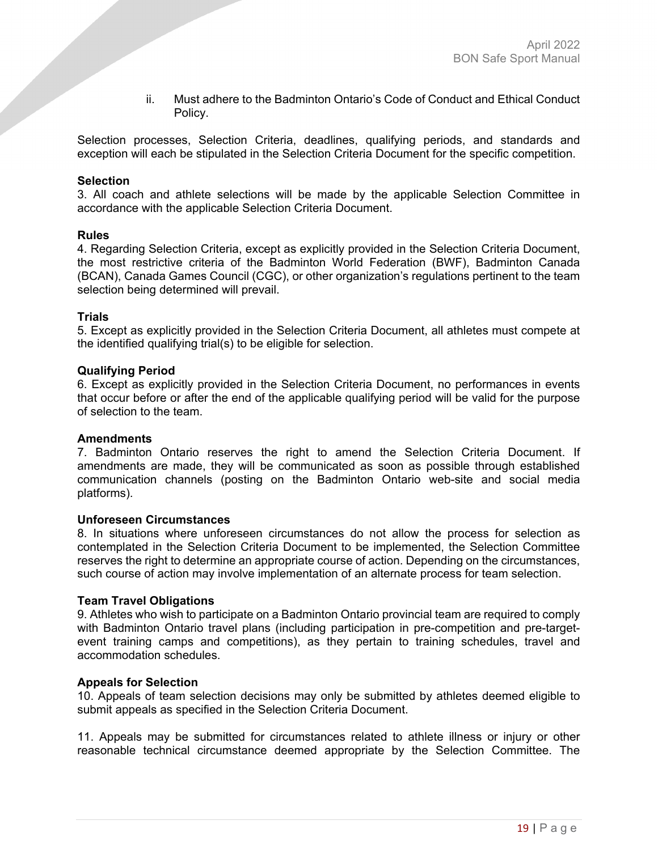ii. Must adhere to the Badminton Ontario's Code of Conduct and Ethical Conduct Policy.

Selection processes, Selection Criteria, deadlines, qualifying periods, and standards and exception will each be stipulated in the Selection Criteria Document for the specific competition.

#### **Selection**

3. All coach and athlete selections will be made by the applicable Selection Committee in accordance with the applicable Selection Criteria Document.

#### **Rules**

4. Regarding Selection Criteria, except as explicitly provided in the Selection Criteria Document, the most restrictive criteria of the Badminton World Federation (BWF), Badminton Canada (BCAN), Canada Games Council (CGC), or other organization's regulations pertinent to the team selection being determined will prevail.

#### **Trials**

5. Except as explicitly provided in the Selection Criteria Document, all athletes must compete at the identified qualifying trial(s) to be eligible for selection.

#### **Qualifying Period**

6. Except as explicitly provided in the Selection Criteria Document, no performances in events that occur before or after the end of the applicable qualifying period will be valid for the purpose of selection to the team.

#### **Amendments**

7. Badminton Ontario reserves the right to amend the Selection Criteria Document. If amendments are made, they will be communicated as soon as possible through established communication channels (posting on the Badminton Ontario web-site and social media platforms).

#### **Unforeseen Circumstances**

8. In situations where unforeseen circumstances do not allow the process for selection as contemplated in the Selection Criteria Document to be implemented, the Selection Committee reserves the right to determine an appropriate course of action. Depending on the circumstances, such course of action may involve implementation of an alternate process for team selection.

#### **Team Travel Obligations**

9. Athletes who wish to participate on a Badminton Ontario provincial team are required to comply with Badminton Ontario travel plans (including participation in pre-competition and pre-targetevent training camps and competitions), as they pertain to training schedules, travel and accommodation schedules.

#### **Appeals for Selection**

10. Appeals of team selection decisions may only be submitted by athletes deemed eligible to submit appeals as specified in the Selection Criteria Document.

11. Appeals may be submitted for circumstances related to athlete illness or injury or other reasonable technical circumstance deemed appropriate by the Selection Committee. The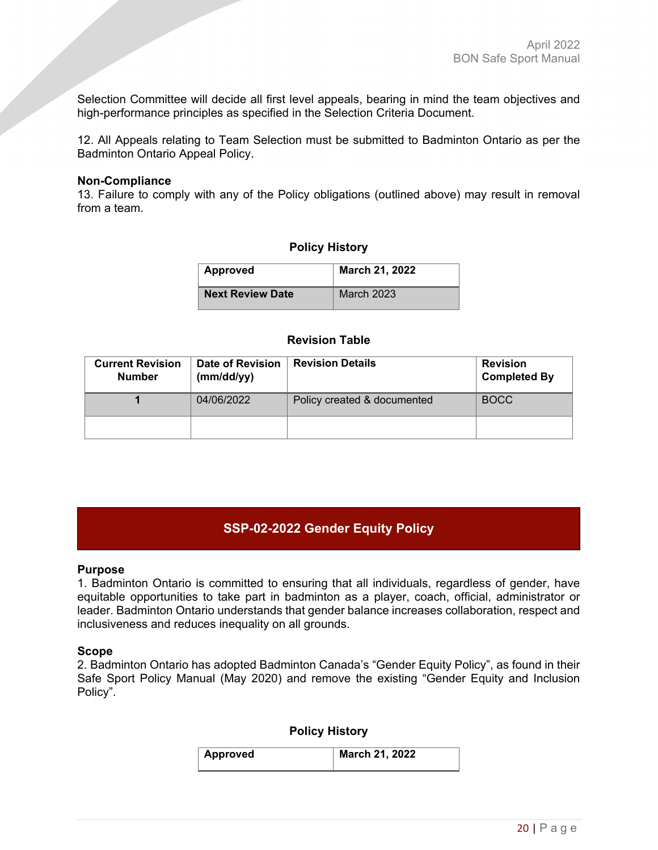Selection Committee will decide all first level appeals, bearing in mind the team objectives and high-performance principles as specified in the Selection Criteria Document.

12. All Appeals relating to Team Selection must be submitted to Badminton Ontario as per the Badminton Ontario Appeal Policy.

#### **Non-Compliance**

13. Failure to comply with any of the Policy obligations (outlined above) may result in removal from a team.

## **Policy History**

| <b>Approved</b>         | March 21, 2022    |
|-------------------------|-------------------|
| <b>Next Review Date</b> | <b>March 2023</b> |

#### **Revision Table**

| <b>Current Revision</b><br><b>Number</b> | <b>Date of Revision</b><br>(mm/dd/yy) | <b>Revision Details</b>     | <b>Revision</b><br><b>Completed By</b> |
|------------------------------------------|---------------------------------------|-----------------------------|----------------------------------------|
|                                          | 04/06/2022                            | Policy created & documented | <b>BOCC</b>                            |
|                                          |                                       |                             |                                        |

# <span id="page-19-0"></span>**SSP-02-2022 Gender Equity Policy**

#### **Purpose**

1. Badminton Ontario is committed to ensuring that all individuals, regardless of gender, have equitable opportunities to take part in badminton as a player, coach, official, administrator or leader. Badminton Ontario understands that gender balance increases collaboration, respect and inclusiveness and reduces inequality on all grounds. 

#### **Scope**

2. Badminton Ontario has adopted Badminton Canada's "Gender Equity Policy", as found in their Safe Sport Policy Manual (May 2020) and remove the existing "Gender Equity and Inclusion Policy".

#### **Policy History**

| <b>Approved</b> | March 21, 2022 |
|-----------------|----------------|
|                 |                |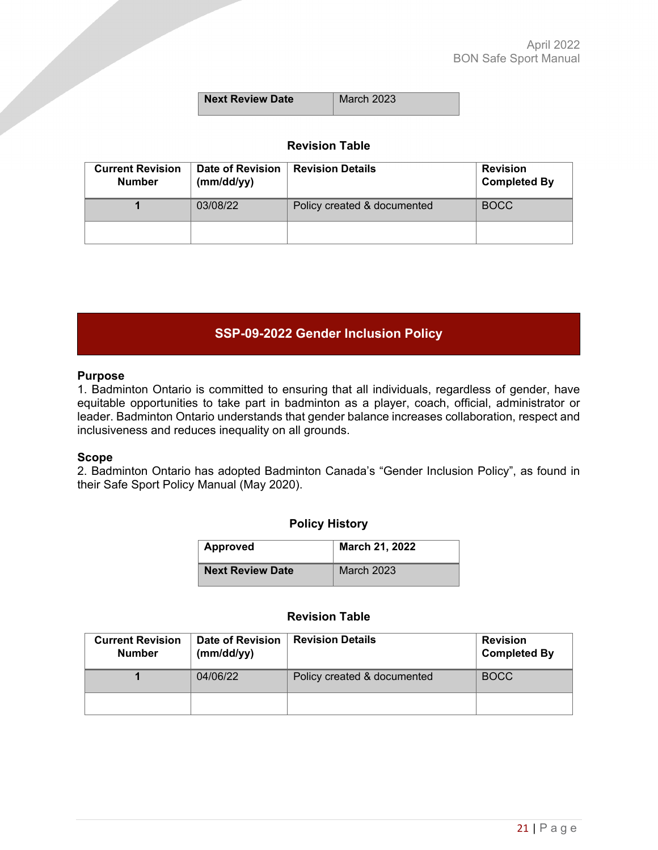| Next Review Date | March 2023 |
|------------------|------------|
|                  |            |

# **Revision Table**

| <b>Current Revision</b><br><b>Number</b> | <b>Date of Revision</b><br>(mm/dd/yy) | <b>Revision Details</b>     | <b>Revision</b><br><b>Completed By</b> |
|------------------------------------------|---------------------------------------|-----------------------------|----------------------------------------|
|                                          | 03/08/22                              | Policy created & documented | <b>BOCC</b>                            |
|                                          |                                       |                             |                                        |

# <span id="page-20-0"></span>**SSP-09-2022 Gender Inclusion Policy**

#### **Purpose**

1. Badminton Ontario is committed to ensuring that all individuals, regardless of gender, have equitable opportunities to take part in badminton as a player, coach, official, administrator or leader. Badminton Ontario understands that gender balance increases collaboration, respect and inclusiveness and reduces inequality on all grounds. 

#### **Scope**

2. Badminton Ontario has adopted Badminton Canada's "Gender Inclusion Policy", as found in their Safe Sport Policy Manual (May 2020).

#### **Policy History**

| Approved                | March 21, 2022    |
|-------------------------|-------------------|
| <b>Next Review Date</b> | <b>March 2023</b> |

## **Revision Table**

| <b>Current Revision</b><br><b>Number</b> | Date of Revision<br>(mm/dd/yy) | <b>Revision Details</b>     | <b>Revision</b><br><b>Completed By</b> |
|------------------------------------------|--------------------------------|-----------------------------|----------------------------------------|
|                                          | 04/06/22                       | Policy created & documented | <b>BOCC</b>                            |
|                                          |                                |                             |                                        |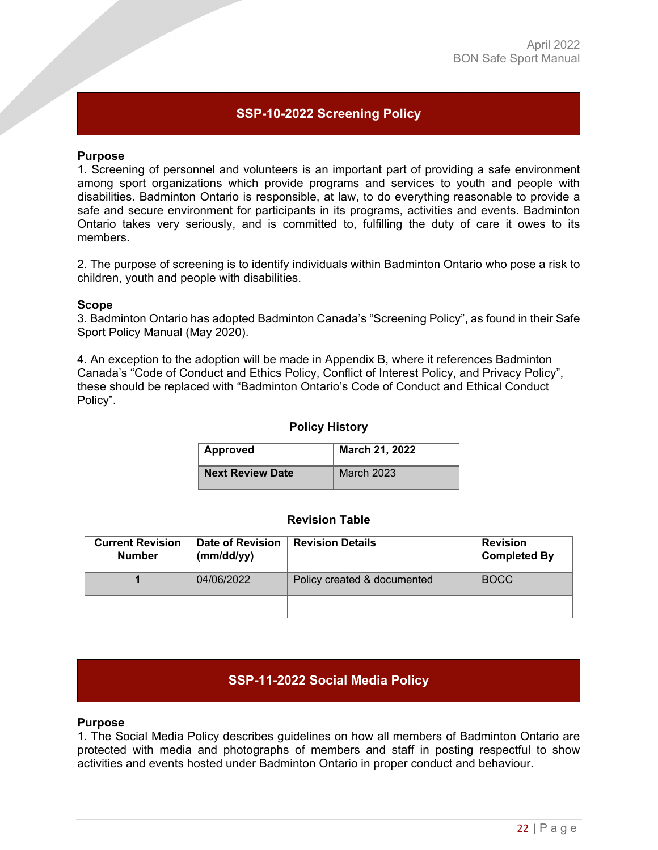# <span id="page-21-0"></span>**SSP-10-2022 Screening Policy**

#### **Purpose**

1. Screening of personnel and volunteers is an important part of providing a safe environment among sport organizations which provide programs and services to youth and people with disabilities. Badminton Ontario is responsible, at law, to do everything reasonable to provide a safe and secure environment for participants in its programs, activities and events. Badminton Ontario takes very seriously, and is committed to, fulfilling the duty of care it owes to its members.

2. The purpose of screening is to identify individuals within Badminton Ontario who pose a risk to children, youth and people with disabilities.

#### **Scope**

3. Badminton Ontario has adopted Badminton Canada's "Screening Policy", as found in their Safe Sport Policy Manual (May 2020).

4. An exception to the adoption will be made in Appendix B, where it references Badminton Canada's "Code of Conduct and Ethics Policy, Conflict of Interest Policy, and Privacy Policy", these should be replaced with "Badminton Ontario's Code of Conduct and Ethical Conduct Policy".

#### **Policy History**

| Approved                | March 21, 2022    |
|-------------------------|-------------------|
| <b>Next Review Date</b> | <b>March 2023</b> |

## **Revision Table**

| <b>Current Revision</b><br><b>Number</b> | Date of Revision<br>(mm/dd/yy) | <b>Revision Details</b>     | <b>Revision</b><br><b>Completed By</b> |
|------------------------------------------|--------------------------------|-----------------------------|----------------------------------------|
|                                          | 04/06/2022                     | Policy created & documented | <b>BOCC</b>                            |
|                                          |                                |                             |                                        |

# <span id="page-21-1"></span>**SSP-11-2022 Social Media Policy**

#### **Purpose**

1. The Social Media Policy describes guidelines on how all members of Badminton Ontario are protected with media and photographs of members and staff in posting respectful to show activities and events hosted under Badminton Ontario in proper conduct and behaviour.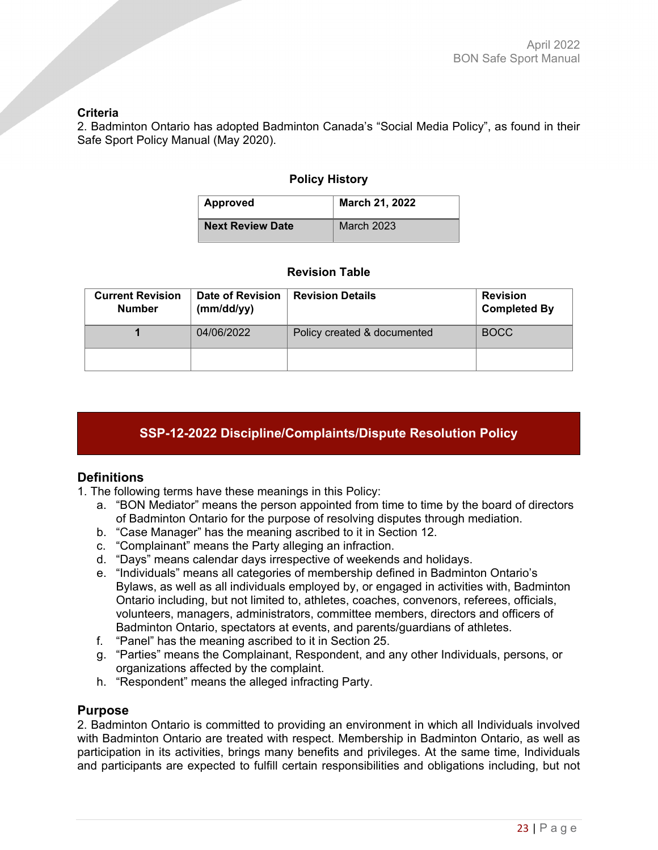## **Criteria**

2. Badminton Ontario has adopted Badminton Canada's "Social Media Policy", as found in their Safe Sport Policy Manual (May 2020).

## **Policy History**

| <b>Approved</b>         | March 21, 2022    |
|-------------------------|-------------------|
| <b>Next Review Date</b> | <b>March 2023</b> |

## **Revision Table**

| <b>Current Revision</b><br><b>Number</b> | Date of Revision<br>(mm/dd/yy) | <b>Revision Details</b>     | <b>Revision</b><br><b>Completed By</b> |
|------------------------------------------|--------------------------------|-----------------------------|----------------------------------------|
|                                          | 04/06/2022                     | Policy created & documented | <b>BOCC</b>                            |
|                                          |                                |                             |                                        |

# <span id="page-22-0"></span>**SSP-12-2022 Discipline/Complaints/Dispute Resolution Policy**

# **Definitions**

- 1. The following terms have these meanings in this Policy:
	- a. "BON Mediator" means the person appointed from time to time by the board of directors of Badminton Ontario for the purpose of resolving disputes through mediation.
	- b. "Case Manager" has the meaning ascribed to it in Section 12.
	- c. "Complainant" means the Party alleging an infraction.
	- d. "Days" means calendar days irrespective of weekends and holidays.
	- e. "Individuals" means all categories of membership defined in Badminton Ontario's Bylaws, as well as all individuals employed by, or engaged in activities with, Badminton Ontario including, but not limited to, athletes, coaches, convenors, referees, officials, volunteers, managers, administrators, committee members, directors and officers of Badminton Ontario, spectators at events, and parents/guardians of athletes.
	- f. "Panel" has the meaning ascribed to it in Section 25.
	- g. "Parties" means the Complainant, Respondent, and any other Individuals, persons, or organizations affected by the complaint.
	- h. "Respondent" means the alleged infracting Party.

#### **Purpose**

2. Badminton Ontario is committed to providing an environment in which all Individuals involved with Badminton Ontario are treated with respect. Membership in Badminton Ontario, as well as participation in its activities, brings many benefits and privileges. At the same time, Individuals and participants are expected to fulfill certain responsibilities and obligations including, but not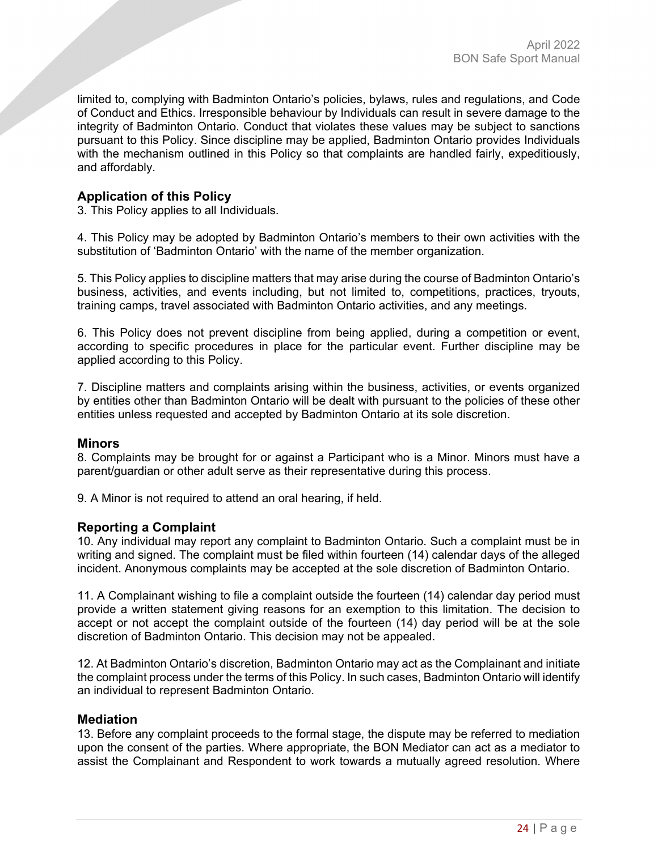limited to, complying with Badminton Ontario's policies, bylaws, rules and regulations, and Code of Conduct and Ethics. Irresponsible behaviour by Individuals can result in severe damage to the integrity of Badminton Ontario. Conduct that violates these values may be subject to sanctions pursuant to this Policy. Since discipline may be applied, Badminton Ontario provides Individuals with the mechanism outlined in this Policy so that complaints are handled fairly, expeditiously, and affordably.

# **Application of this Policy**

3. This Policy applies to all Individuals.

4. This Policy may be adopted by Badminton Ontario's members to their own activities with the substitution of 'Badminton Ontario' with the name of the member organization.

5. This Policy applies to discipline matters that may arise during the course of Badminton Ontario's business, activities, and events including, but not limited to, competitions, practices, tryouts, training camps, travel associated with Badminton Ontario activities, and any meetings.

6. This Policy does not prevent discipline from being applied, during a competition or event, according to specific procedures in place for the particular event. Further discipline may be applied according to this Policy.

7. Discipline matters and complaints arising within the business, activities, or events organized by entities other than Badminton Ontario will be dealt with pursuant to the policies of these other entities unless requested and accepted by Badminton Ontario at its sole discretion.

#### **Minors**

8. Complaints may be brought for or against a Participant who is a Minor. Minors must have a parent/guardian or other adult serve as their representative during this process.

9. A Minor is not required to attend an oral hearing, if held.

# **Reporting a Complaint**

10. Any individual may report any complaint to Badminton Ontario. Such a complaint must be in writing and signed. The complaint must be filed within fourteen (14) calendar days of the alleged incident. Anonymous complaints may be accepted at the sole discretion of Badminton Ontario.

11. A Complainant wishing to file a complaint outside the fourteen (14) calendar day period must provide a written statement giving reasons for an exemption to this limitation. The decision to accept or not accept the complaint outside of the fourteen (14) day period will be at the sole discretion of Badminton Ontario. This decision may not be appealed.

12. At Badminton Ontario's discretion, Badminton Ontario may act as the Complainant and initiate the complaint process under the terms of this Policy. In such cases, Badminton Ontario will identify an individual to represent Badminton Ontario.

## **Mediation**

13. Before any complaint proceeds to the formal stage, the dispute may be referred to mediation upon the consent of the parties. Where appropriate, the BON Mediator can act as a mediator to assist the Complainant and Respondent to work towards a mutually agreed resolution. Where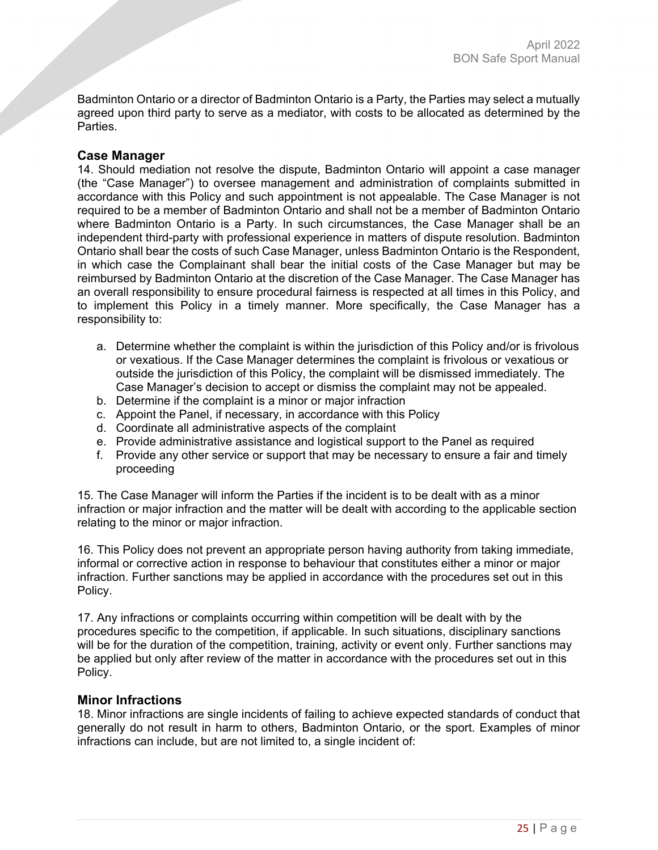Badminton Ontario or a director of Badminton Ontario is a Party, the Parties may select a mutually agreed upon third party to serve as a mediator, with costs to be allocated as determined by the **Parties** 

# **Case Manager**

14. Should mediation not resolve the dispute, Badminton Ontario will appoint a case manager (the "Case Manager") to oversee management and administration of complaints submitted in accordance with this Policy and such appointment is not appealable. The Case Manager is not required to be a member of Badminton Ontario and shall not be a member of Badminton Ontario where Badminton Ontario is a Party. In such circumstances, the Case Manager shall be an independent third-party with professional experience in matters of dispute resolution. Badminton Ontario shall bear the costs of such Case Manager, unless Badminton Ontario is the Respondent, in which case the Complainant shall bear the initial costs of the Case Manager but may be reimbursed by Badminton Ontario at the discretion of the Case Manager. The Case Manager has an overall responsibility to ensure procedural fairness is respected at all times in this Policy, and to implement this Policy in a timely manner. More specifically, the Case Manager has a responsibility to:

- a. Determine whether the complaint is within the jurisdiction of this Policy and/or is frivolous or vexatious. If the Case Manager determines the complaint is frivolous or vexatious or outside the jurisdiction of this Policy, the complaint will be dismissed immediately. The Case Manager's decision to accept or dismiss the complaint may not be appealed.
- b. Determine if the complaint is a minor or major infraction
- c. Appoint the Panel, if necessary, in accordance with this Policy
- d. Coordinate all administrative aspects of the complaint
- e. Provide administrative assistance and logistical support to the Panel as required
- f. Provide any other service or support that may be necessary to ensure a fair and timely proceeding

15. The Case Manager will inform the Parties if the incident is to be dealt with as a minor infraction or major infraction and the matter will be dealt with according to the applicable section relating to the minor or major infraction.

16. This Policy does not prevent an appropriate person having authority from taking immediate, informal or corrective action in response to behaviour that constitutes either a minor or major infraction. Further sanctions may be applied in accordance with the procedures set out in this Policy.

17. Any infractions or complaints occurring within competition will be dealt with by the procedures specific to the competition, if applicable. In such situations, disciplinary sanctions will be for the duration of the competition, training, activity or event only. Further sanctions may be applied but only after review of the matter in accordance with the procedures set out in this Policy.

# **Minor Infractions**

18. Minor infractions are single incidents of failing to achieve expected standards of conduct that generally do not result in harm to others, Badminton Ontario, or the sport. Examples of minor infractions can include, but are not limited to, a single incident of: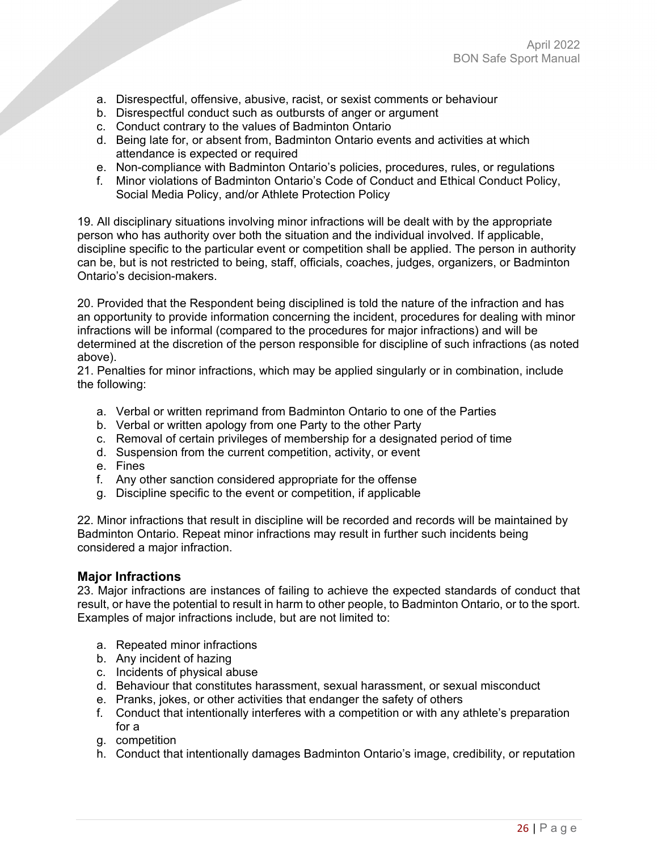- a. Disrespectful, offensive, abusive, racist, or sexist comments or behaviour
- b. Disrespectful conduct such as outbursts of anger or argument
- c. Conduct contrary to the values of Badminton Ontario
- d. Being late for, or absent from, Badminton Ontario events and activities at which attendance is expected or required
- e. Non-compliance with Badminton Ontario's policies, procedures, rules, or regulations
- f. Minor violations of Badminton Ontario's Code of Conduct and Ethical Conduct Policy, Social Media Policy, and/or Athlete Protection Policy

19. All disciplinary situations involving minor infractions will be dealt with by the appropriate person who has authority over both the situation and the individual involved. If applicable, discipline specific to the particular event or competition shall be applied. The person in authority can be, but is not restricted to being, staff, officials, coaches, judges, organizers, or Badminton Ontario's decision-makers.

20. Provided that the Respondent being disciplined is told the nature of the infraction and has an opportunity to provide information concerning the incident, procedures for dealing with minor infractions will be informal (compared to the procedures for major infractions) and will be determined at the discretion of the person responsible for discipline of such infractions (as noted above).

21. Penalties for minor infractions, which may be applied singularly or in combination, include the following:

- a. Verbal or written reprimand from Badminton Ontario to one of the Parties
- b. Verbal or written apology from one Party to the other Party
- c. Removal of certain privileges of membership for a designated period of time
- d. Suspension from the current competition, activity, or event
- e. Fines
- f. Any other sanction considered appropriate for the offense
- g. Discipline specific to the event or competition, if applicable

22. Minor infractions that result in discipline will be recorded and records will be maintained by Badminton Ontario. Repeat minor infractions may result in further such incidents being considered a major infraction.

#### **Major Infractions**

23. Major infractions are instances of failing to achieve the expected standards of conduct that result, or have the potential to result in harm to other people, to Badminton Ontario, or to the sport. Examples of major infractions include, but are not limited to:

- a. Repeated minor infractions
- b. Any incident of hazing
- c. Incidents of physical abuse
- d. Behaviour that constitutes harassment, sexual harassment, or sexual misconduct
- e. Pranks, jokes, or other activities that endanger the safety of others
- f. Conduct that intentionally interferes with a competition or with any athlete's preparation for a
- g. competition
- h. Conduct that intentionally damages Badminton Ontario's image, credibility, or reputation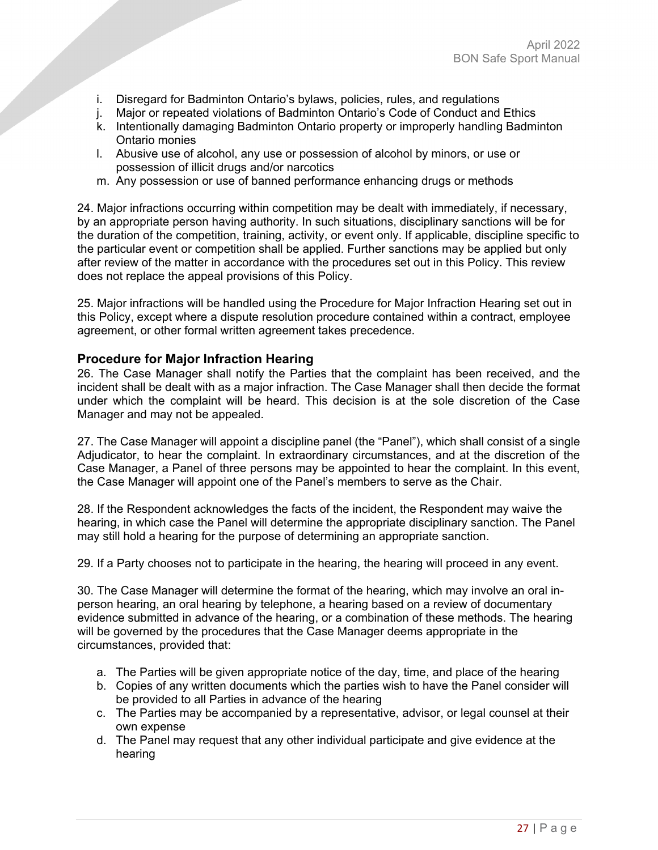- i. Disregard for Badminton Ontario's bylaws, policies, rules, and regulations
- j. Major or repeated violations of Badminton Ontario's Code of Conduct and Ethics
- k. Intentionally damaging Badminton Ontario property or improperly handling Badminton Ontario monies
- l. Abusive use of alcohol, any use or possession of alcohol by minors, or use or possession of illicit drugs and/or narcotics
- m. Any possession or use of banned performance enhancing drugs or methods

24. Major infractions occurring within competition may be dealt with immediately, if necessary, by an appropriate person having authority. In such situations, disciplinary sanctions will be for the duration of the competition, training, activity, or event only. If applicable, discipline specific to the particular event or competition shall be applied. Further sanctions may be applied but only after review of the matter in accordance with the procedures set out in this Policy. This review does not replace the appeal provisions of this Policy.

25. Major infractions will be handled using the Procedure for Major Infraction Hearing set out in this Policy, except where a dispute resolution procedure contained within a contract, employee agreement, or other formal written agreement takes precedence.

## **Procedure for Major Infraction Hearing**

26. The Case Manager shall notify the Parties that the complaint has been received, and the incident shall be dealt with as a major infraction. The Case Manager shall then decide the format under which the complaint will be heard. This decision is at the sole discretion of the Case Manager and may not be appealed.

27. The Case Manager will appoint a discipline panel (the "Panel"), which shall consist of a single Adjudicator, to hear the complaint. In extraordinary circumstances, and at the discretion of the Case Manager, a Panel of three persons may be appointed to hear the complaint. In this event, the Case Manager will appoint one of the Panel's members to serve as the Chair.

28. If the Respondent acknowledges the facts of the incident, the Respondent may waive the hearing, in which case the Panel will determine the appropriate disciplinary sanction. The Panel may still hold a hearing for the purpose of determining an appropriate sanction.

29. If a Party chooses not to participate in the hearing, the hearing will proceed in any event.

30. The Case Manager will determine the format of the hearing, which may involve an oral inperson hearing, an oral hearing by telephone, a hearing based on a review of documentary evidence submitted in advance of the hearing, or a combination of these methods. The hearing will be governed by the procedures that the Case Manager deems appropriate in the circumstances, provided that:

- a. The Parties will be given appropriate notice of the day, time, and place of the hearing
- b. Copies of any written documents which the parties wish to have the Panel consider will be provided to all Parties in advance of the hearing
- c. The Parties may be accompanied by a representative, advisor, or legal counsel at their own expense
- d. The Panel may request that any other individual participate and give evidence at the hearing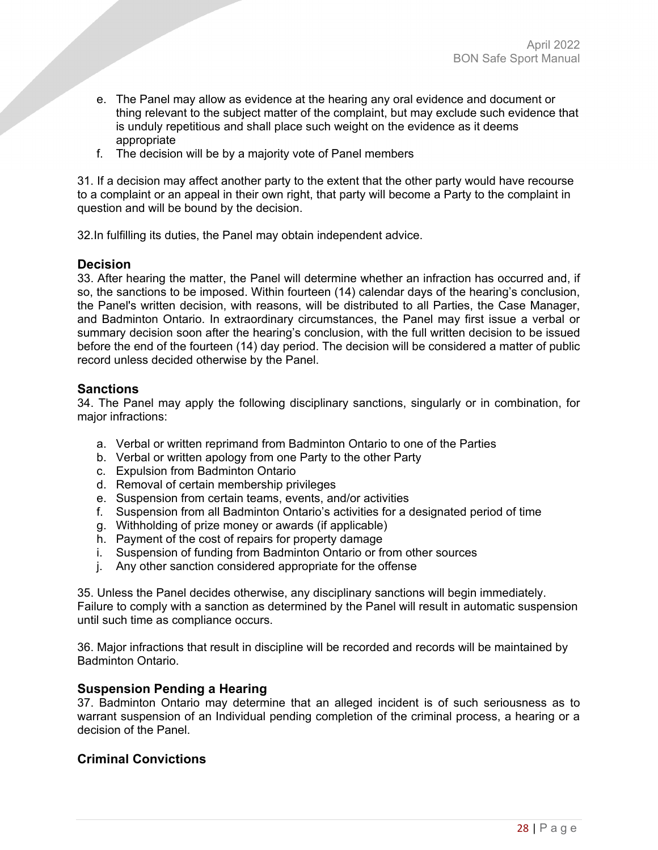- e. The Panel may allow as evidence at the hearing any oral evidence and document or thing relevant to the subject matter of the complaint, but may exclude such evidence that is unduly repetitious and shall place such weight on the evidence as it deems appropriate
- f. The decision will be by a majority vote of Panel members

31. If a decision may affect another party to the extent that the other party would have recourse to a complaint or an appeal in their own right, that party will become a Party to the complaint in question and will be bound by the decision.

32.In fulfilling its duties, the Panel may obtain independent advice.

# **Decision**

33. After hearing the matter, the Panel will determine whether an infraction has occurred and, if so, the sanctions to be imposed. Within fourteen (14) calendar days of the hearing's conclusion, the Panel's written decision, with reasons, will be distributed to all Parties, the Case Manager, and Badminton Ontario. In extraordinary circumstances, the Panel may first issue a verbal or summary decision soon after the hearing's conclusion, with the full written decision to be issued before the end of the fourteen (14) day period. The decision will be considered a matter of public record unless decided otherwise by the Panel.

## **Sanctions**

34. The Panel may apply the following disciplinary sanctions, singularly or in combination, for major infractions:

- a. Verbal or written reprimand from Badminton Ontario to one of the Parties
- b. Verbal or written apology from one Party to the other Party
- c. Expulsion from Badminton Ontario
- d. Removal of certain membership privileges
- e. Suspension from certain teams, events, and/or activities
- f. Suspension from all Badminton Ontario's activities for a designated period of time
- g. Withholding of prize money or awards (if applicable)
- h. Payment of the cost of repairs for property damage
- i. Suspension of funding from Badminton Ontario or from other sources
- j. Any other sanction considered appropriate for the offense

35. Unless the Panel decides otherwise, any disciplinary sanctions will begin immediately. Failure to comply with a sanction as determined by the Panel will result in automatic suspension until such time as compliance occurs.

36. Major infractions that result in discipline will be recorded and records will be maintained by Badminton Ontario.

# **Suspension Pending a Hearing**

37. Badminton Ontario may determine that an alleged incident is of such seriousness as to warrant suspension of an Individual pending completion of the criminal process, a hearing or a decision of the Panel.

# **Criminal Convictions**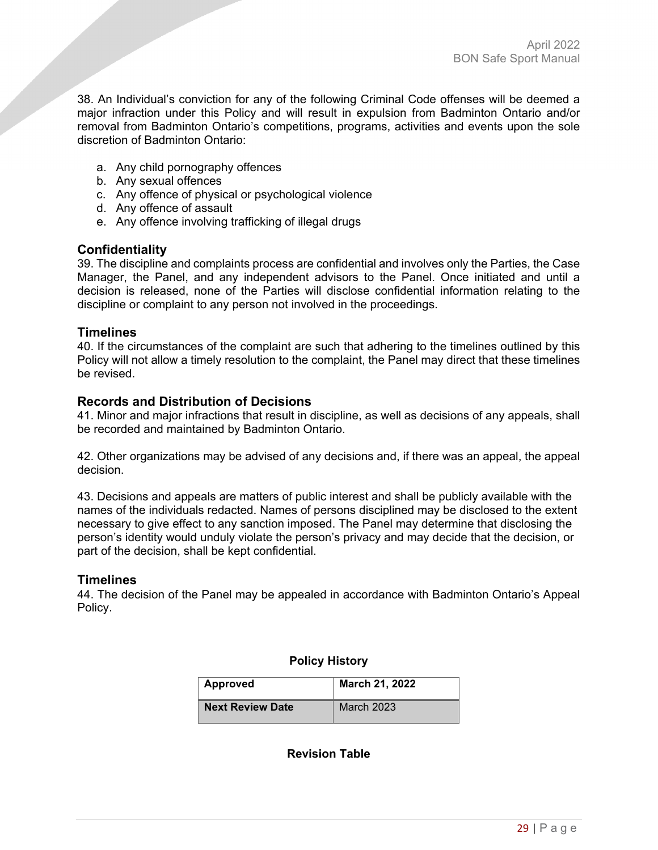38. An Individual's conviction for any of the following Criminal Code offenses will be deemed a major infraction under this Policy and will result in expulsion from Badminton Ontario and/or removal from Badminton Ontario's competitions, programs, activities and events upon the sole discretion of Badminton Ontario:

- a. Any child pornography offences
- b. Any sexual offences
- c. Any offence of physical or psychological violence
- d. Any offence of assault
- e. Any offence involving trafficking of illegal drugs

#### **Confidentiality**

39. The discipline and complaints process are confidential and involves only the Parties, the Case Manager, the Panel, and any independent advisors to the Panel. Once initiated and until a decision is released, none of the Parties will disclose confidential information relating to the discipline or complaint to any person not involved in the proceedings.

# **Timelines**

40. If the circumstances of the complaint are such that adhering to the timelines outlined by this Policy will not allow a timely resolution to the complaint, the Panel may direct that these timelines be revised.

## **Records and Distribution of Decisions**

41. Minor and major infractions that result in discipline, as well as decisions of any appeals, shall be recorded and maintained by Badminton Ontario.

42. Other organizations may be advised of any decisions and, if there was an appeal, the appeal decision.

43. Decisions and appeals are matters of public interest and shall be publicly available with the names of the individuals redacted. Names of persons disciplined may be disclosed to the extent necessary to give effect to any sanction imposed. The Panel may determine that disclosing the person's identity would unduly violate the person's privacy and may decide that the decision, or part of the decision, shall be kept confidential.

# **Timelines**

44. The decision of the Panel may be appealed in accordance with Badminton Ontario's Appeal Policy.

|  | <b>Policy History</b> |
|--|-----------------------|
|--|-----------------------|

| Approved                | March 21, 2022    |
|-------------------------|-------------------|
| <b>Next Review Date</b> | <b>March 2023</b> |

**Revision Table**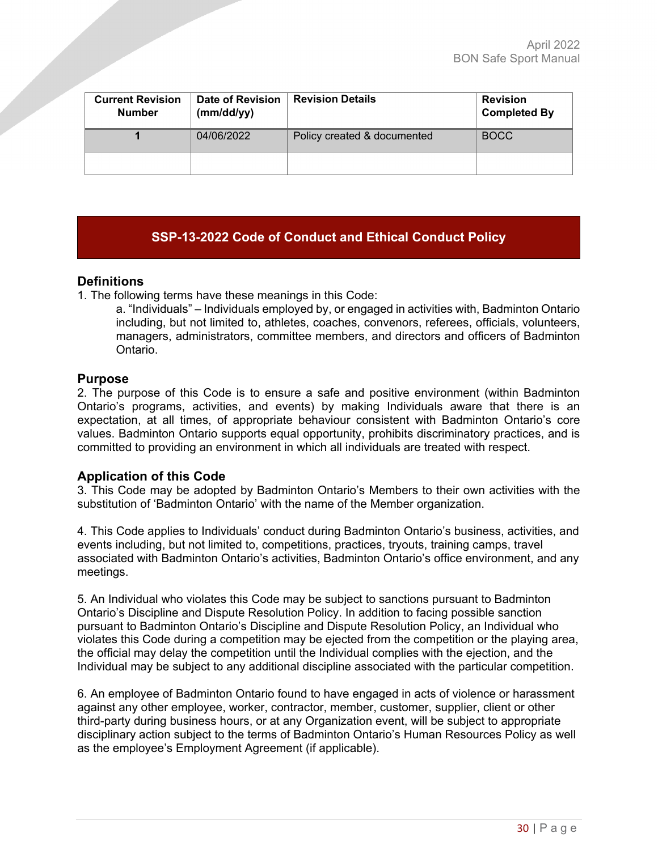| <b>Current Revision</b><br><b>Number</b> | Date of Revision<br>(mm/dd/yy) | <b>Revision Details</b>     | <b>Revision</b><br><b>Completed By</b> |
|------------------------------------------|--------------------------------|-----------------------------|----------------------------------------|
|                                          | 04/06/2022                     | Policy created & documented | <b>BOCC</b>                            |
|                                          |                                |                             |                                        |

# <span id="page-29-0"></span>**SSP-13-2022 Code of Conduct and Ethical Conduct Policy**

# **Definitions**

1. The following terms have these meanings in this Code:

a. "Individuals" – Individuals employed by, or engaged in activities with, Badminton Ontario including, but not limited to, athletes, coaches, convenors, referees, officials, volunteers, managers, administrators, committee members, and directors and officers of Badminton Ontario.

## **Purpose**

2. The purpose of this Code is to ensure a safe and positive environment (within Badminton Ontario's programs, activities, and events) by making Individuals aware that there is an expectation, at all times, of appropriate behaviour consistent with Badminton Ontario's core values. Badminton Ontario supports equal opportunity, prohibits discriminatory practices, and is committed to providing an environment in which all individuals are treated with respect.

# **Application of this Code**

3. This Code may be adopted by Badminton Ontario's Members to their own activities with the substitution of 'Badminton Ontario' with the name of the Member organization.

4. This Code applies to Individuals' conduct during Badminton Ontario's business, activities, and events including, but not limited to, competitions, practices, tryouts, training camps, travel associated with Badminton Ontario's activities, Badminton Ontario's office environment, and any meetings.

5. An Individual who violates this Code may be subject to sanctions pursuant to Badminton Ontario's Discipline and Dispute Resolution Policy. In addition to facing possible sanction pursuant to Badminton Ontario's Discipline and Dispute Resolution Policy, an Individual who violates this Code during a competition may be ejected from the competition or the playing area, the official may delay the competition until the Individual complies with the ejection, and the Individual may be subject to any additional discipline associated with the particular competition.

6. An employee of Badminton Ontario found to have engaged in acts of violence or harassment against any other employee, worker, contractor, member, customer, supplier, client or other third-party during business hours, or at any Organization event, will be subject to appropriate disciplinary action subject to the terms of Badminton Ontario's Human Resources Policy as well as the employee's Employment Agreement (if applicable).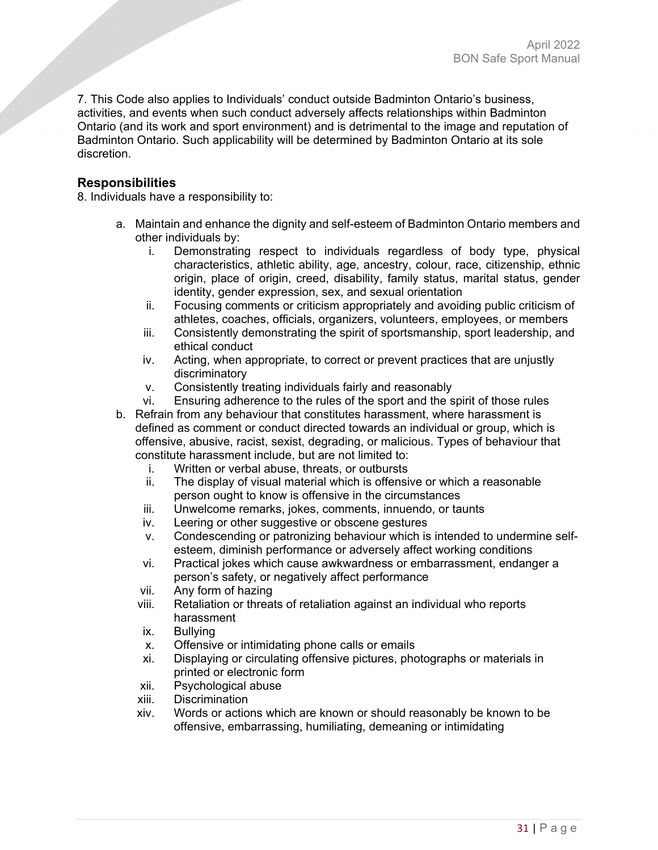7. This Code also applies to Individuals' conduct outside Badminton Ontario's business, activities, and events when such conduct adversely affects relationships within Badminton Ontario (and its work and sport environment) and is detrimental to the image and reputation of Badminton Ontario. Such applicability will be determined by Badminton Ontario at its sole discretion.

# **Responsibilities**

8. Individuals have a responsibility to:

- a. Maintain and enhance the dignity and self-esteem of Badminton Ontario members and other individuals by:
	- i. Demonstrating respect to individuals regardless of body type, physical characteristics, athletic ability, age, ancestry, colour, race, citizenship, ethnic origin, place of origin, creed, disability, family status, marital status, gender identity, gender expression, sex, and sexual orientation
	- ii. Focusing comments or criticism appropriately and avoiding public criticism of athletes, coaches, officials, organizers, volunteers, employees, or members
	- iii. Consistently demonstrating the spirit of sportsmanship, sport leadership, and ethical conduct
	- iv. Acting, when appropriate, to correct or prevent practices that are unjustly discriminatory
	- v. Consistently treating individuals fairly and reasonably
	- vi. Ensuring adherence to the rules of the sport and the spirit of those rules
- b. Refrain from any behaviour that constitutes harassment, where harassment is defined as comment or conduct directed towards an individual or group, which is offensive, abusive, racist, sexist, degrading, or malicious. Types of behaviour that constitute harassment include, but are not limited to:
	- i. Written or verbal abuse, threats, or outbursts
	- ii. The display of visual material which is offensive or which a reasonable person ought to know is offensive in the circumstances
	- iii. Unwelcome remarks, jokes, comments, innuendo, or taunts
	- iv. Leering or other suggestive or obscene gestures
	- v. Condescending or patronizing behaviour which is intended to undermine selfesteem, diminish performance or adversely affect working conditions
	- vi. Practical jokes which cause awkwardness or embarrassment, endanger a person's safety, or negatively affect performance
	- vii. Any form of hazing
	- viii. Retaliation or threats of retaliation against an individual who reports harassment
	- ix. Bullying
	- x. Offensive or intimidating phone calls or emails
	- xi. Displaying or circulating offensive pictures, photographs or materials in printed or electronic form
	- xii. Psychological abuse
	- xiii. Discrimination
	- xiv. Words or actions which are known or should reasonably be known to be offensive, embarrassing, humiliating, demeaning or intimidating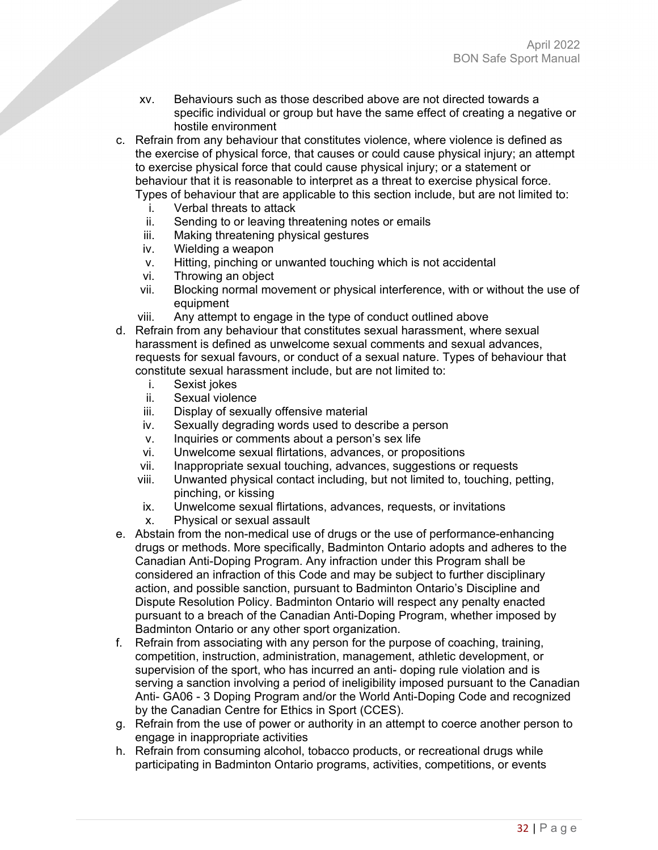- xv. Behaviours such as those described above are not directed towards a specific individual or group but have the same effect of creating a negative or hostile environment
- c. Refrain from any behaviour that constitutes violence, where violence is defined as the exercise of physical force, that causes or could cause physical injury; an attempt to exercise physical force that could cause physical injury; or a statement or behaviour that it is reasonable to interpret as a threat to exercise physical force. Types of behaviour that are applicable to this section include, but are not limited to:
	-
	- i. Verbal threats to attack<br>ii Sending to or leaving the Sending to or leaving threatening notes or emails
	- iii. Making threatening physical gestures
	- iv. Wielding a weapon
	- v. Hitting, pinching or unwanted touching which is not accidental
	- vi. Throwing an object
	- vii. Blocking normal movement or physical interference, with or without the use of equipment
	- viii. Any attempt to engage in the type of conduct outlined above
- d. Refrain from any behaviour that constitutes sexual harassment, where sexual harassment is defined as unwelcome sexual comments and sexual advances, requests for sexual favours, or conduct of a sexual nature. Types of behaviour that constitute sexual harassment include, but are not limited to:
	- i. Sexist jokes
	- ii. Sexual violence
	- iii. Display of sexually offensive material
	- iv. Sexually degrading words used to describe a person
	- v. Inquiries or comments about a person's sex life
	- vi. Unwelcome sexual flirtations, advances, or propositions
	- vii. Inappropriate sexual touching, advances, suggestions or requests
	- viii. Unwanted physical contact including, but not limited to, touching, petting, pinching, or kissing
	- ix. Unwelcome sexual flirtations, advances, requests, or invitations
	- x. Physical or sexual assault
- e. Abstain from the non-medical use of drugs or the use of performance-enhancing drugs or methods. More specifically, Badminton Ontario adopts and adheres to the Canadian Anti-Doping Program. Any infraction under this Program shall be considered an infraction of this Code and may be subject to further disciplinary action, and possible sanction, pursuant to Badminton Ontario's Discipline and Dispute Resolution Policy. Badminton Ontario will respect any penalty enacted pursuant to a breach of the Canadian Anti-Doping Program, whether imposed by Badminton Ontario or any other sport organization.
- f. Refrain from associating with any person for the purpose of coaching, training, competition, instruction, administration, management, athletic development, or supervision of the sport, who has incurred an anti- doping rule violation and is serving a sanction involving a period of ineligibility imposed pursuant to the Canadian Anti- GA06 - 3 Doping Program and/or the World Anti-Doping Code and recognized by the Canadian Centre for Ethics in Sport (CCES).
- g. Refrain from the use of power or authority in an attempt to coerce another person to engage in inappropriate activities
- h. Refrain from consuming alcohol, tobacco products, or recreational drugs while participating in Badminton Ontario programs, activities, competitions, or events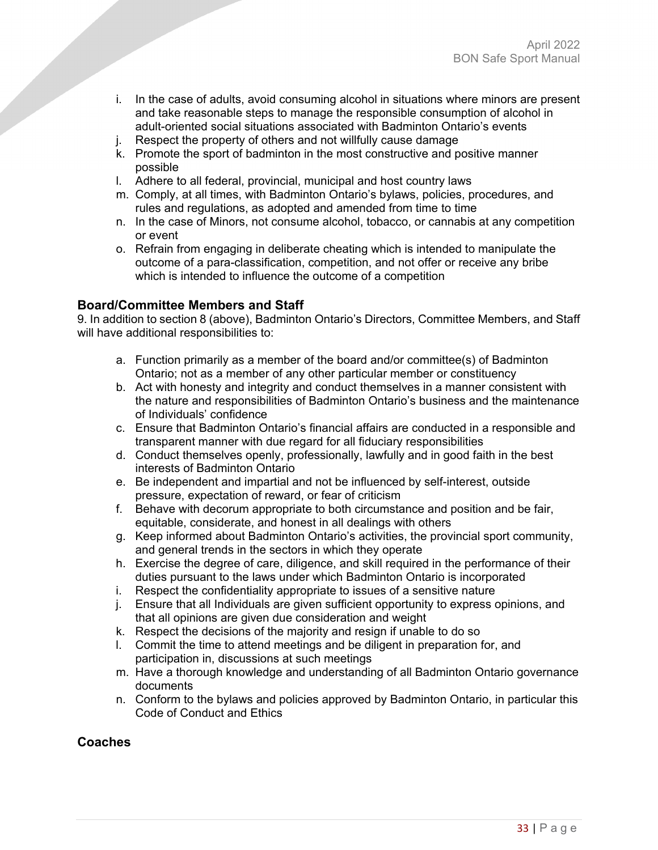- i. In the case of adults, avoid consuming alcohol in situations where minors are present and take reasonable steps to manage the responsible consumption of alcohol in adult-oriented social situations associated with Badminton Ontario's events
- j. Respect the property of others and not willfully cause damage
- k. Promote the sport of badminton in the most constructive and positive manner possible
- l. Adhere to all federal, provincial, municipal and host country laws
- m. Comply, at all times, with Badminton Ontario's bylaws, policies, procedures, and rules and regulations, as adopted and amended from time to time
- n. In the case of Minors, not consume alcohol, tobacco, or cannabis at any competition or event
- o. Refrain from engaging in deliberate cheating which is intended to manipulate the outcome of a para-classification, competition, and not offer or receive any bribe which is intended to influence the outcome of a competition

# **Board/Committee Members and Staff**

9. In addition to section 8 (above), Badminton Ontario's Directors, Committee Members, and Staff will have additional responsibilities to:

- a. Function primarily as a member of the board and/or committee(s) of Badminton Ontario; not as a member of any other particular member or constituency
- b. Act with honesty and integrity and conduct themselves in a manner consistent with the nature and responsibilities of Badminton Ontario's business and the maintenance of Individuals' confidence
- c. Ensure that Badminton Ontario's financial affairs are conducted in a responsible and transparent manner with due regard for all fiduciary responsibilities
- d. Conduct themselves openly, professionally, lawfully and in good faith in the best interests of Badminton Ontario
- e. Be independent and impartial and not be influenced by self-interest, outside pressure, expectation of reward, or fear of criticism
- f. Behave with decorum appropriate to both circumstance and position and be fair, equitable, considerate, and honest in all dealings with others
- g. Keep informed about Badminton Ontario's activities, the provincial sport community, and general trends in the sectors in which they operate
- h. Exercise the degree of care, diligence, and skill required in the performance of their duties pursuant to the laws under which Badminton Ontario is incorporated
- i. Respect the confidentiality appropriate to issues of a sensitive nature
- j. Ensure that all Individuals are given sufficient opportunity to express opinions, and that all opinions are given due consideration and weight
- k. Respect the decisions of the majority and resign if unable to do so
- l. Commit the time to attend meetings and be diligent in preparation for, and participation in, discussions at such meetings
- m. Have a thorough knowledge and understanding of all Badminton Ontario governance documents
- n. Conform to the bylaws and policies approved by Badminton Ontario, in particular this Code of Conduct and Ethics

# **Coaches**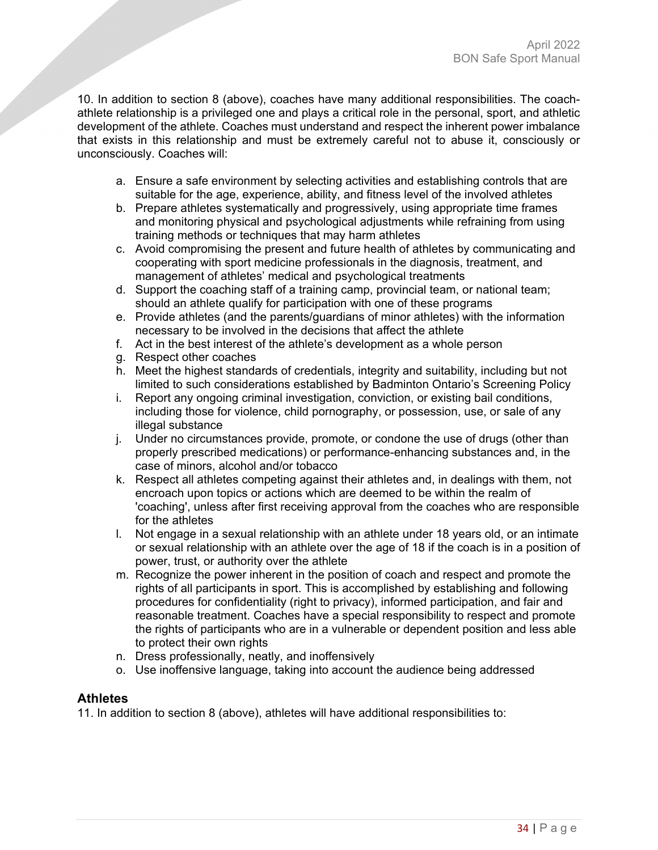10. In addition to section 8 (above), coaches have many additional responsibilities. The coachathlete relationship is a privileged one and plays a critical role in the personal, sport, and athletic development of the athlete. Coaches must understand and respect the inherent power imbalance that exists in this relationship and must be extremely careful not to abuse it, consciously or unconsciously. Coaches will:

- a. Ensure a safe environment by selecting activities and establishing controls that are suitable for the age, experience, ability, and fitness level of the involved athletes
- b. Prepare athletes systematically and progressively, using appropriate time frames and monitoring physical and psychological adjustments while refraining from using training methods or techniques that may harm athletes
- c. Avoid compromising the present and future health of athletes by communicating and cooperating with sport medicine professionals in the diagnosis, treatment, and management of athletes' medical and psychological treatments
- d. Support the coaching staff of a training camp, provincial team, or national team; should an athlete qualify for participation with one of these programs
- e. Provide athletes (and the parents/guardians of minor athletes) with the information necessary to be involved in the decisions that affect the athlete
- f. Act in the best interest of the athlete's development as a whole person
- g. Respect other coaches
- h. Meet the highest standards of credentials, integrity and suitability, including but not limited to such considerations established by Badminton Ontario's Screening Policy
- i. Report any ongoing criminal investigation, conviction, or existing bail conditions, including those for violence, child pornography, or possession, use, or sale of any illegal substance
- j. Under no circumstances provide, promote, or condone the use of drugs (other than properly prescribed medications) or performance-enhancing substances and, in the case of minors, alcohol and/or tobacco
- k. Respect all athletes competing against their athletes and, in dealings with them, not encroach upon topics or actions which are deemed to be within the realm of 'coaching', unless after first receiving approval from the coaches who are responsible for the athletes
- l. Not engage in a sexual relationship with an athlete under 18 years old, or an intimate or sexual relationship with an athlete over the age of 18 if the coach is in a position of power, trust, or authority over the athlete
- m. Recognize the power inherent in the position of coach and respect and promote the rights of all participants in sport. This is accomplished by establishing and following procedures for confidentiality (right to privacy), informed participation, and fair and reasonable treatment. Coaches have a special responsibility to respect and promote the rights of participants who are in a vulnerable or dependent position and less able to protect their own rights
- n. Dress professionally, neatly, and inoffensively
- o. Use inoffensive language, taking into account the audience being addressed

# **Athletes**

11. In addition to section 8 (above), athletes will have additional responsibilities to: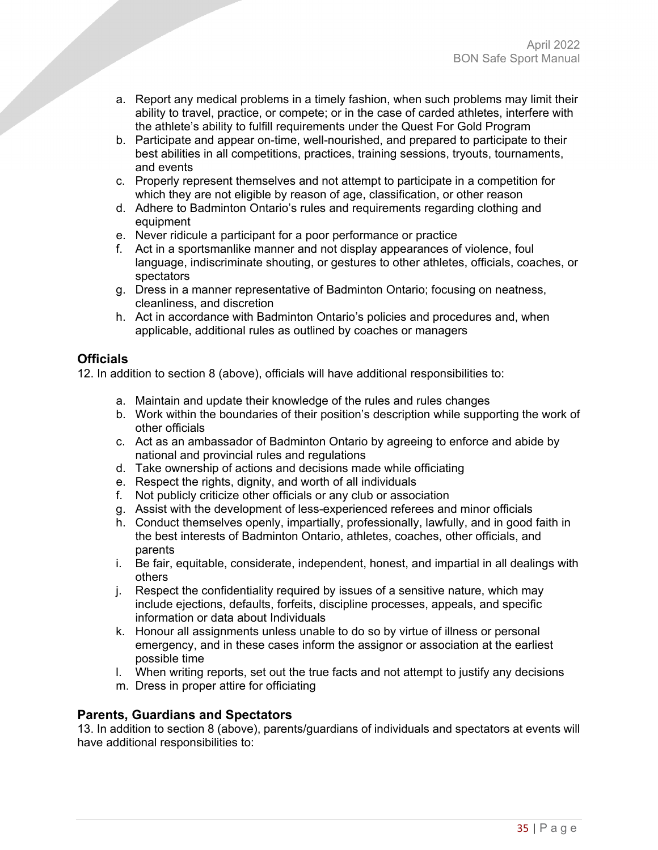- a. Report any medical problems in a timely fashion, when such problems may limit their ability to travel, practice, or compete; or in the case of carded athletes, interfere with the athlete's ability to fulfill requirements under the Quest For Gold Program
- b. Participate and appear on-time, well-nourished, and prepared to participate to their best abilities in all competitions, practices, training sessions, tryouts, tournaments, and events
- c. Properly represent themselves and not attempt to participate in a competition for which they are not eligible by reason of age, classification, or other reason
- d. Adhere to Badminton Ontario's rules and requirements regarding clothing and equipment
- e. Never ridicule a participant for a poor performance or practice
- f. Act in a sportsmanlike manner and not display appearances of violence, foul language, indiscriminate shouting, or gestures to other athletes, officials, coaches, or spectators
- g. Dress in a manner representative of Badminton Ontario; focusing on neatness, cleanliness, and discretion
- h. Act in accordance with Badminton Ontario's policies and procedures and, when applicable, additional rules as outlined by coaches or managers

# **Officials**

12. In addition to section 8 (above), officials will have additional responsibilities to:

- a. Maintain and update their knowledge of the rules and rules changes
- b. Work within the boundaries of their position's description while supporting the work of other officials
- c. Act as an ambassador of Badminton Ontario by agreeing to enforce and abide by national and provincial rules and regulations
- d. Take ownership of actions and decisions made while officiating
- e. Respect the rights, dignity, and worth of all individuals
- f. Not publicly criticize other officials or any club or association
- g. Assist with the development of less-experienced referees and minor officials
- h. Conduct themselves openly, impartially, professionally, lawfully, and in good faith in the best interests of Badminton Ontario, athletes, coaches, other officials, and parents
- i. Be fair, equitable, considerate, independent, honest, and impartial in all dealings with others
- j. Respect the confidentiality required by issues of a sensitive nature, which may include ejections, defaults, forfeits, discipline processes, appeals, and specific information or data about Individuals
- k. Honour all assignments unless unable to do so by virtue of illness or personal emergency, and in these cases inform the assignor or association at the earliest possible time
- l. When writing reports, set out the true facts and not attempt to justify any decisions
- m. Dress in proper attire for officiating

# **Parents, Guardians and Spectators**

13. In addition to section 8 (above), parents/guardians of individuals and spectators at events will have additional responsibilities to: